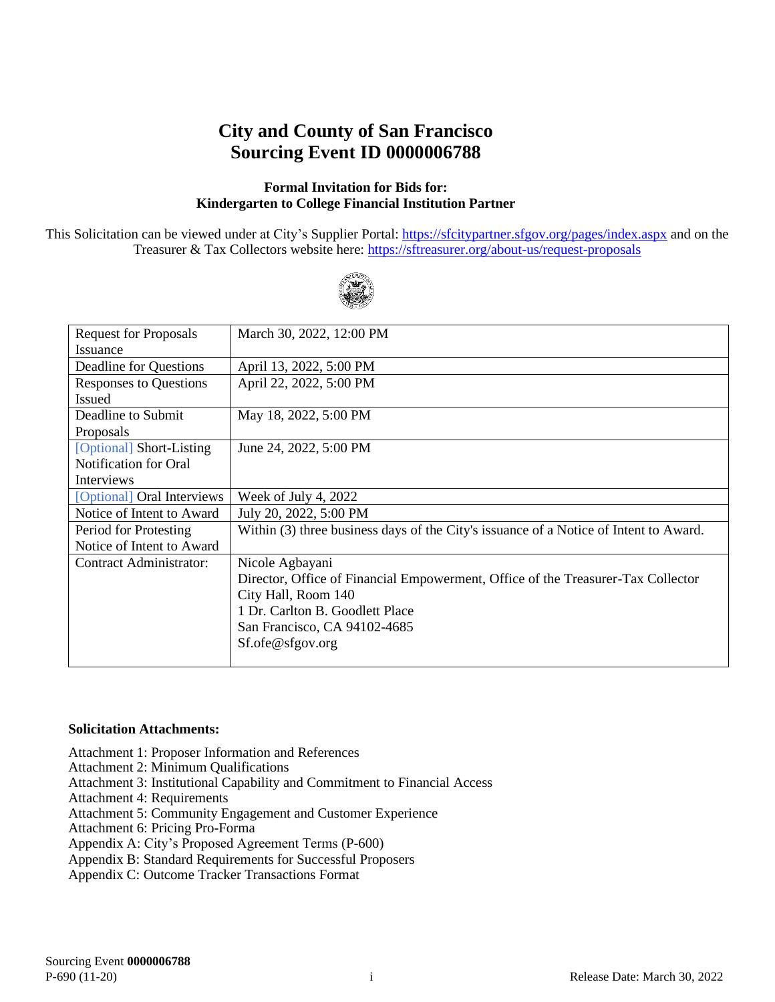# **City and County of San Francisco Sourcing Event ID 0000006788**

#### **Formal Invitation for Bids for: Kindergarten to College Financial Institution Partner**

This Solicitation can be viewed under at City's Supplier Portal:<https://sfcitypartner.sfgov.org/pages/index.aspx> and on the Treasurer & Tax Collectors website here:<https://sftreasurer.org/about-us/request-proposals>



| <b>Request for Proposals</b>  | March 30, 2022, 12:00 PM                                                              |
|-------------------------------|---------------------------------------------------------------------------------------|
|                               |                                                                                       |
| <b>Issuance</b>               |                                                                                       |
| Deadline for Questions        | April 13, 2022, 5:00 PM                                                               |
| <b>Responses to Questions</b> | April 22, 2022, 5:00 PM                                                               |
| <b>Issued</b>                 |                                                                                       |
| Deadline to Submit            | May 18, 2022, 5:00 PM                                                                 |
| Proposals                     |                                                                                       |
| [Optional] Short-Listing      | June 24, 2022, 5:00 PM                                                                |
| <b>Notification for Oral</b>  |                                                                                       |
| Interviews                    |                                                                                       |
| [Optional] Oral Interviews    | Week of July 4, 2022                                                                  |
| Notice of Intent to Award     | July 20, 2022, 5:00 PM                                                                |
| Period for Protesting         | Within (3) three business days of the City's issuance of a Notice of Intent to Award. |
| Notice of Intent to Award     |                                                                                       |
| Contract Administrator:       | Nicole Agbayani                                                                       |
|                               | Director, Office of Financial Empowerment, Office of the Treasurer-Tax Collector      |
|                               | City Hall, Room 140                                                                   |
|                               | 1 Dr. Carlton B. Goodlett Place                                                       |
|                               | San Francisco, CA 94102-4685                                                          |
|                               | Sf.ofe@sfgov.org                                                                      |
|                               |                                                                                       |

#### **Solicitation Attachments:**

Attachment 1: Proposer Information and References

Attachment 2: Minimum Qualifications

Attachment 3: Institutional Capability and Commitment to Financial Access

Attachment 4: Requirements

Attachment 5: Community Engagement and Customer Experience

Attachment 6: Pricing Pro-Forma

Appendix A: City's Proposed Agreement Terms (P-600)

Appendix B: Standard Requirements for Successful Proposers

Appendix C: Outcome Tracker Transactions Format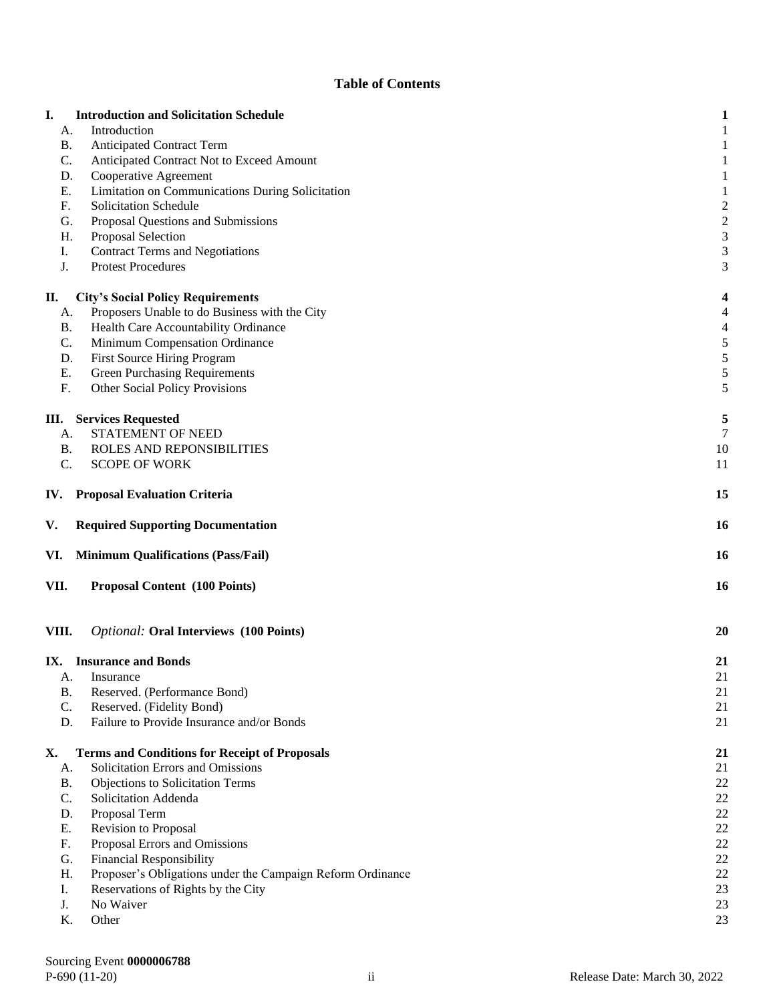#### **Table of Contents**

|           | <b>Introduction and Solicitation Schedule</b>                                                    |                |
|-----------|--------------------------------------------------------------------------------------------------|----------------|
| A.        | Introduction                                                                                     |                |
| B.        | <b>Anticipated Contract Term</b>                                                                 |                |
| C.        | Anticipated Contract Not to Exceed Amount                                                        |                |
| D.        | Cooperative Agreement                                                                            |                |
| Ε.        | Limitation on Communications During Solicitation                                                 |                |
| F.        | Solicitation Schedule                                                                            | $\overline{c}$ |
| G.        | Proposal Questions and Submissions                                                               | $\overline{c}$ |
| Η.        | Proposal Selection                                                                               | 3              |
| I.        | <b>Contract Terms and Negotiations</b>                                                           | 3              |
| J.        | <b>Protest Procedures</b>                                                                        | 3              |
| П.        | <b>City's Social Policy Requirements</b>                                                         | 4              |
| А.        | Proposers Unable to do Business with the City                                                    | 4              |
|           | Health Care Accountability Ordinance<br>B.                                                       |                |
| C.        | Minimum Compensation Ordinance                                                                   | 4<br>5         |
| D.        | First Source Hiring Program                                                                      | 5              |
| Ε.        | <b>Green Purchasing Requirements</b>                                                             | 5              |
| F.        | Other Social Policy Provisions                                                                   | 5              |
|           |                                                                                                  |                |
| Ш.        | <b>Services Requested</b>                                                                        | 5              |
| А.        | STATEMENT OF NEED                                                                                | 7              |
| B.        | ROLES AND REPONSIBILITIES                                                                        | 10             |
| C.        | <b>SCOPE OF WORK</b>                                                                             | 11             |
| IV.       | <b>Proposal Evaluation Criteria</b>                                                              | 15             |
| V.        | <b>Required Supporting Documentation</b>                                                         | <b>16</b>      |
| VI.       | <b>Minimum Qualifications (Pass/Fail)</b>                                                        | <b>16</b>      |
|           |                                                                                                  |                |
| VII.      | <b>Proposal Content</b> (100 Points)                                                             | <b>16</b>      |
| VIII.     | <b>Optional: Oral Interviews (100 Points)</b>                                                    | 20             |
|           | IX. Insurance and Bonds                                                                          | 21             |
| A.        | Insurance                                                                                        | 21             |
| <b>B.</b> | Reserved. (Performance Bond)                                                                     | 21             |
| C.        | Reserved. (Fidelity Bond)                                                                        | 21             |
| D.        | Failure to Provide Insurance and/or Bonds                                                        | 21             |
|           |                                                                                                  |                |
| Х.        | <b>Terms and Conditions for Receipt of Proposals</b>                                             | 21             |
| A.        | Solicitation Errors and Omissions                                                                | 21             |
| <b>B.</b> | Objections to Solicitation Terms                                                                 | 22             |
| C.        | Solicitation Addenda                                                                             | 22             |
| D.        | Proposal Term                                                                                    | 22             |
| Ε.        | Revision to Proposal                                                                             | 22             |
| F.        | Proposal Errors and Omissions                                                                    | 22             |
| G.<br>Η.  | <b>Financial Responsibility</b>                                                                  | 22<br>22       |
| Ι.        | Proposer's Obligations under the Campaign Reform Ordinance<br>Reservations of Rights by the City | 23             |
| J.        | No Waiver                                                                                        | 23             |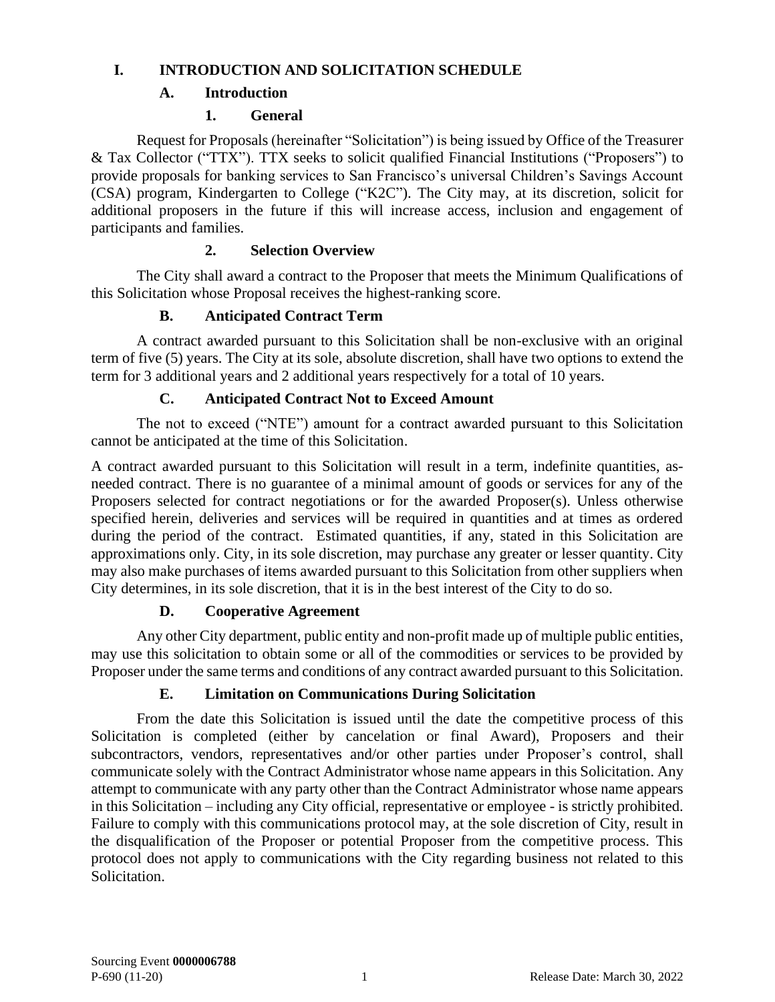## <span id="page-2-1"></span><span id="page-2-0"></span>**I. INTRODUCTION AND SOLICITATION SCHEDULE**

# **A. Introduction**

# **1. General**

Request for Proposals (hereinafter "Solicitation") is being issued by Office of the Treasurer & Tax Collector ("TTX"). TTX seeks to solicit qualified Financial Institutions ("Proposers") to provide proposals for banking services to San Francisco's universal Children's Savings Account (CSA) program, Kindergarten to College ("K2C"). The City may, at its discretion, solicit for additional proposers in the future if this will increase access, inclusion and engagement of participants and families.

# **2. Selection Overview**

The City shall award a contract to the Proposer that meets the Minimum Qualifications of this Solicitation whose Proposal receives the highest-ranking score.

# <span id="page-2-2"></span>**B. Anticipated Contract Term**

A contract awarded pursuant to this Solicitation shall be non-exclusive with an original term of five (5) years. The City at its sole, absolute discretion, shall have two options to extend the term for 3 additional years and 2 additional years respectively for a total of 10 years.

# **C. Anticipated Contract Not to Exceed Amount**

<span id="page-2-3"></span>The not to exceed ("NTE") amount for a contract awarded pursuant to this Solicitation cannot be anticipated at the time of this Solicitation.

A contract awarded pursuant to this Solicitation will result in a term, indefinite quantities, asneeded contract. There is no guarantee of a minimal amount of goods or services for any of the Proposers selected for contract negotiations or for the awarded Proposer(s). Unless otherwise specified herein, deliveries and services will be required in quantities and at times as ordered during the period of the contract. Estimated quantities, if any, stated in this Solicitation are approximations only. City, in its sole discretion, may purchase any greater or lesser quantity. City may also make purchases of items awarded pursuant to this Solicitation from other suppliers when City determines, in its sole discretion, that it is in the best interest of the City to do so.

# **D. Cooperative Agreement**

<span id="page-2-4"></span>Any other City department, public entity and non-profit made up of multiple public entities, may use this solicitation to obtain some or all of the commodities or services to be provided by Proposer under the same terms and conditions of any contract awarded pursuant to this Solicitation.

# **E. Limitation on Communications During Solicitation**

<span id="page-2-5"></span>From the date this Solicitation is issued until the date the competitive process of this Solicitation is completed (either by cancelation or final Award), Proposers and their subcontractors, vendors, representatives and/or other parties under Proposer's control, shall communicate solely with the Contract Administrator whose name appears in this Solicitation. Any attempt to communicate with any party other than the Contract Administrator whose name appears in this Solicitation – including any City official, representative or employee - is strictly prohibited. Failure to comply with this communications protocol may, at the sole discretion of City, result in the disqualification of the Proposer or potential Proposer from the competitive process. This protocol does not apply to communications with the City regarding business not related to this Solicitation.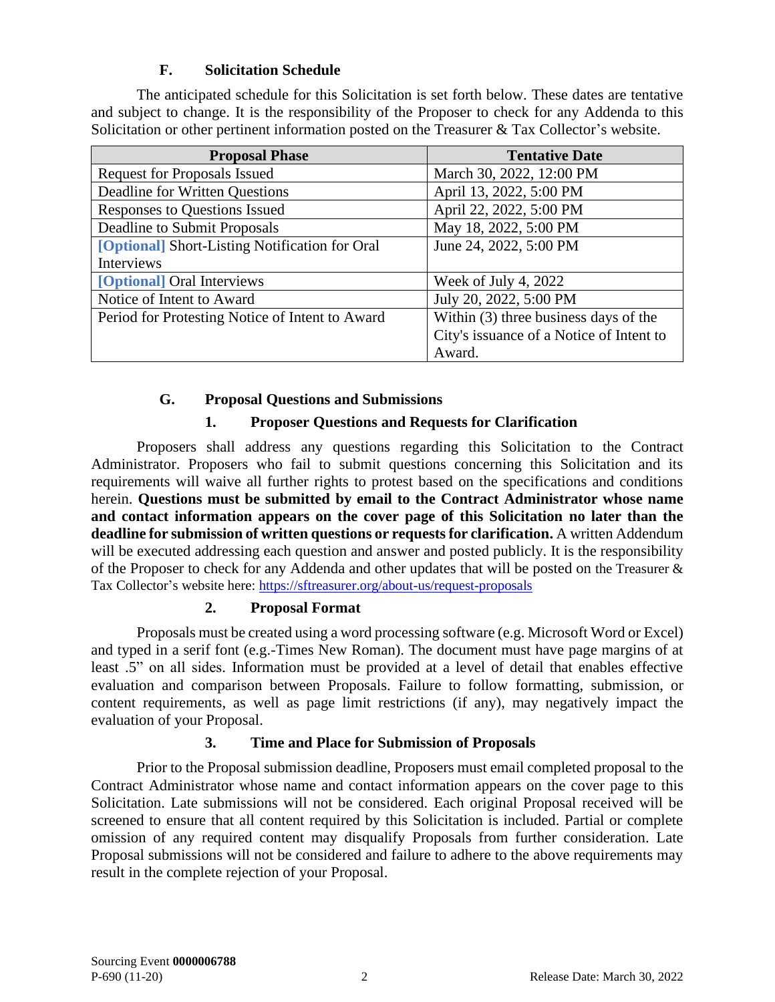# **F. Solicitation Schedule**

<span id="page-3-0"></span>The anticipated schedule for this Solicitation is set forth below. These dates are tentative and subject to change. It is the responsibility of the Proposer to check for any Addenda to this Solicitation or other pertinent information posted on the Treasurer & Tax Collector's website.

| <b>Proposal Phase</b>                           | <b>Tentative Date</b>                    |
|-------------------------------------------------|------------------------------------------|
| <b>Request for Proposals Issued</b>             | March 30, 2022, 12:00 PM                 |
| Deadline for Written Questions                  | April 13, 2022, 5:00 PM                  |
| <b>Responses to Questions Issued</b>            | April 22, 2022, 5:00 PM                  |
| Deadline to Submit Proposals                    | May 18, 2022, 5:00 PM                    |
| [Optional] Short-Listing Notification for Oral  | June 24, 2022, 5:00 PM                   |
| Interviews                                      |                                          |
| [Optional] Oral Interviews                      | Week of July 4, 2022                     |
| Notice of Intent to Award                       | July 20, 2022, 5:00 PM                   |
| Period for Protesting Notice of Intent to Award | Within (3) three business days of the    |
|                                                 | City's issuance of a Notice of Intent to |
|                                                 | Award.                                   |

## **G. Proposal Questions and Submissions**

# **1. Proposer Questions and Requests for Clarification**

<span id="page-3-1"></span>Proposers shall address any questions regarding this Solicitation to the Contract Administrator. Proposers who fail to submit questions concerning this Solicitation and its requirements will waive all further rights to protest based on the specifications and conditions herein. **Questions must be submitted by email to the Contract Administrator whose name and contact information appears on the cover page of this Solicitation no later than the deadline for submission of written questions or requests for clarification.** A written Addendum will be executed addressing each question and answer and posted publicly. It is the responsibility of the Proposer to check for any Addenda and other updates that will be posted on the Treasurer & Tax Collector's website here:<https://sftreasurer.org/about-us/request-proposals>

#### **2. Proposal Format**

Proposals must be created using a word processing software (e.g. Microsoft Word or Excel) and typed in a serif font (e.g.-Times New Roman). The document must have page margins of at least .5" on all sides. Information must be provided at a level of detail that enables effective evaluation and comparison between Proposals. Failure to follow formatting, submission, or content requirements, as well as page limit restrictions (if any), may negatively impact the evaluation of your Proposal.

#### **3. Time and Place for Submission of Proposals**

Prior to the Proposal submission deadline, Proposers must email completed proposal to the Contract Administrator whose name and contact information appears on the cover page to this Solicitation. Late submissions will not be considered. Each original Proposal received will be screened to ensure that all content required by this Solicitation is included. Partial or complete omission of any required content may disqualify Proposals from further consideration. Late Proposal submissions will not be considered and failure to adhere to the above requirements may result in the complete rejection of your Proposal.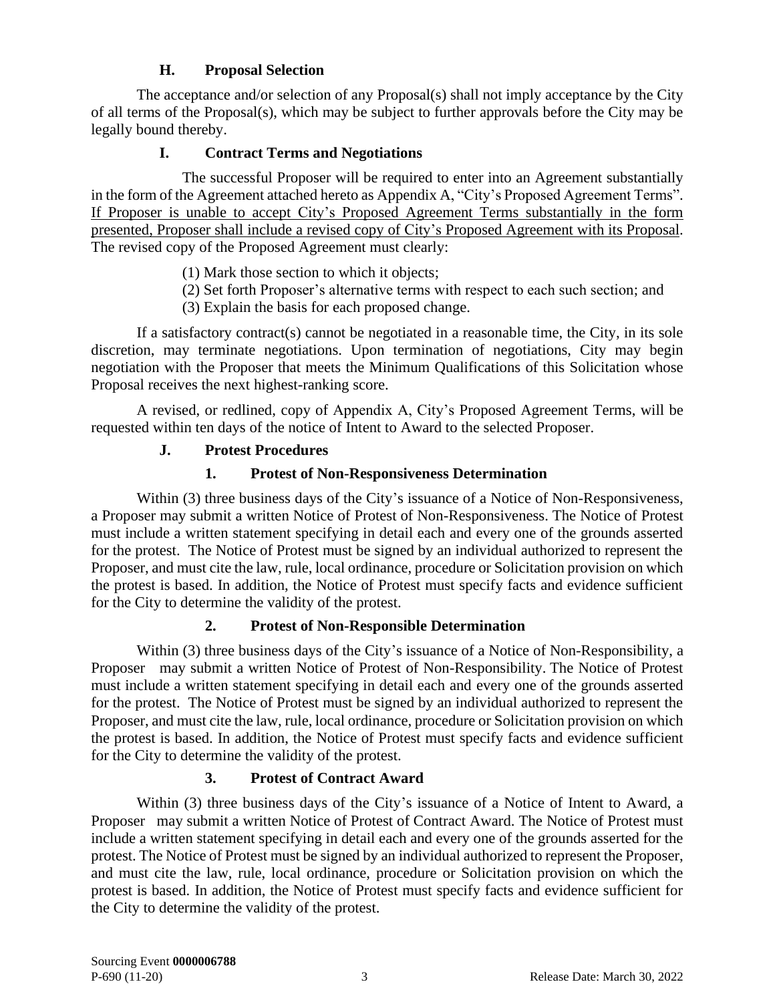# <span id="page-4-0"></span>**H. Proposal Selection**

The acceptance and/or selection of any Proposal(s) shall not imply acceptance by the City of all terms of the Proposal(s), which may be subject to further approvals before the City may be legally bound thereby.

# **I. Contract Terms and Negotiations**

<span id="page-4-1"></span>The successful Proposer will be required to enter into an Agreement substantially in the form of the Agreement attached hereto as Appendix A, "City's Proposed Agreement Terms". If Proposer is unable to accept City's Proposed Agreement Terms substantially in the form presented, Proposer shall include a revised copy of City's Proposed Agreement with its Proposal. The revised copy of the Proposed Agreement must clearly:

- (1) Mark those section to which it objects;
- (2) Set forth Proposer's alternative terms with respect to each such section; and
- (3) Explain the basis for each proposed change.

If a satisfactory contract(s) cannot be negotiated in a reasonable time, the City, in its sole discretion, may terminate negotiations. Upon termination of negotiations, City may begin negotiation with the Proposer that meets the Minimum Qualifications of this Solicitation whose Proposal receives the next highest-ranking score.

<span id="page-4-2"></span>A revised, or redlined, copy of Appendix A, City's Proposed Agreement Terms, will be requested within ten days of the notice of Intent to Award to the selected Proposer.

# **J. Protest Procedures**

## **1. Protest of Non-Responsiveness Determination**

Within (3) three business days of the City's issuance of a Notice of Non-Responsiveness, a Proposer may submit a written Notice of Protest of Non-Responsiveness. The Notice of Protest must include a written statement specifying in detail each and every one of the grounds asserted for the protest. The Notice of Protest must be signed by an individual authorized to represent the Proposer, and must cite the law, rule, local ordinance, procedure or Solicitation provision on which the protest is based. In addition, the Notice of Protest must specify facts and evidence sufficient for the City to determine the validity of the protest.

# **2. Protest of Non-Responsible Determination**

Within (3) three business days of the City's issuance of a Notice of Non-Responsibility, a Proposer may submit a written Notice of Protest of Non-Responsibility. The Notice of Protest must include a written statement specifying in detail each and every one of the grounds asserted for the protest. The Notice of Protest must be signed by an individual authorized to represent the Proposer, and must cite the law, rule, local ordinance, procedure or Solicitation provision on which the protest is based. In addition, the Notice of Protest must specify facts and evidence sufficient for the City to determine the validity of the protest.

#### **3. Protest of Contract Award**

Within (3) three business days of the City's issuance of a Notice of Intent to Award, a Proposer may submit a written Notice of Protest of Contract Award. The Notice of Protest must include a written statement specifying in detail each and every one of the grounds asserted for the protest. The Notice of Protest must be signed by an individual authorized to represent the Proposer, and must cite the law, rule, local ordinance, procedure or Solicitation provision on which the protest is based. In addition, the Notice of Protest must specify facts and evidence sufficient for the City to determine the validity of the protest.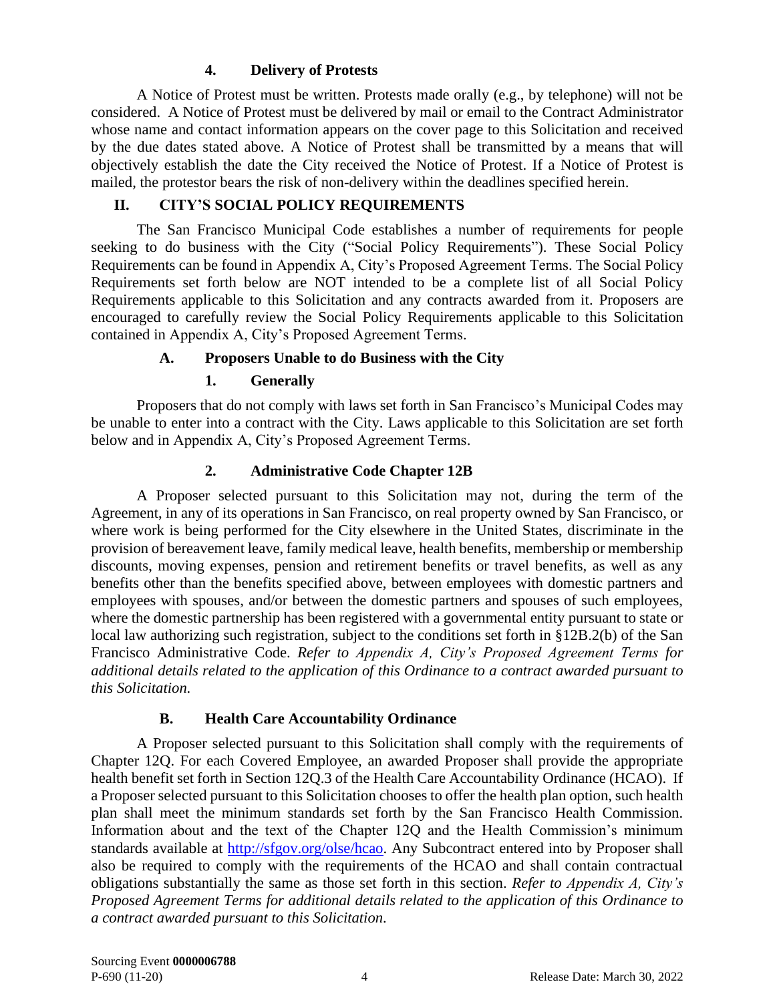## **4. Delivery of Protests**

A Notice of Protest must be written. Protests made orally (e.g., by telephone) will not be considered. A Notice of Protest must be delivered by mail or email to the Contract Administrator whose name and contact information appears on the cover page to this Solicitation and received by the due dates stated above. A Notice of Protest shall be transmitted by a means that will objectively establish the date the City received the Notice of Protest. If a Notice of Protest is mailed, the protestor bears the risk of non-delivery within the deadlines specified herein.

#### **II. CITY'S SOCIAL POLICY REQUIREMENTS**

<span id="page-5-0"></span>The San Francisco Municipal Code establishes a number of requirements for people seeking to do business with the City ("Social Policy Requirements"). These Social Policy Requirements can be found in Appendix A, City's Proposed Agreement Terms. The Social Policy Requirements set forth below are NOT intended to be a complete list of all Social Policy Requirements applicable to this Solicitation and any contracts awarded from it. Proposers are encouraged to carefully review the Social Policy Requirements applicable to this Solicitation contained in Appendix A, City's Proposed Agreement Terms.

## **A. Proposers Unable to do Business with the City**

## **1. Generally**

<span id="page-5-1"></span>Proposers that do not comply with laws set forth in San Francisco's Municipal Codes may be unable to enter into a contract with the City. Laws applicable to this Solicitation are set forth below and in Appendix A, City's Proposed Agreement Terms.

## **2. Administrative Code Chapter 12B**

A Proposer selected pursuant to this Solicitation may not, during the term of the Agreement, in any of its operations in San Francisco, on real property owned by San Francisco, or where work is being performed for the City elsewhere in the United States, discriminate in the provision of bereavement leave, family medical leave, health benefits, membership or membership discounts, moving expenses, pension and retirement benefits or travel benefits, as well as any benefits other than the benefits specified above, between employees with domestic partners and employees with spouses, and/or between the domestic partners and spouses of such employees, where the domestic partnership has been registered with a governmental entity pursuant to state or local law authorizing such registration, subject to the conditions set forth in §12B.2(b) of the San Francisco Administrative Code. *Refer to Appendix A, City's Proposed Agreement Terms for additional details related to the application of this Ordinance to a contract awarded pursuant to this Solicitation.*

#### **B. Health Care Accountability Ordinance**

<span id="page-5-2"></span>A Proposer selected pursuant to this Solicitation shall comply with the requirements of Chapter 12Q. For each Covered Employee, an awarded Proposer shall provide the appropriate health benefit set forth in Section 12Q.3 of the Health Care Accountability Ordinance (HCAO). If a Proposer selected pursuant to this Solicitation chooses to offer the health plan option, such health plan shall meet the minimum standards set forth by the San Francisco Health Commission. Information about and the text of the Chapter 12Q and the Health Commission's minimum standards available at [http://sfgov.org/olse/hcao.](http://sfgov.org/olse/hcao) Any Subcontract entered into by Proposer shall also be required to comply with the requirements of the HCAO and shall contain contractual obligations substantially the same as those set forth in this section. *Refer to Appendix A, City's Proposed Agreement Terms for additional details related to the application of this Ordinance to a contract awarded pursuant to this Solicitation.*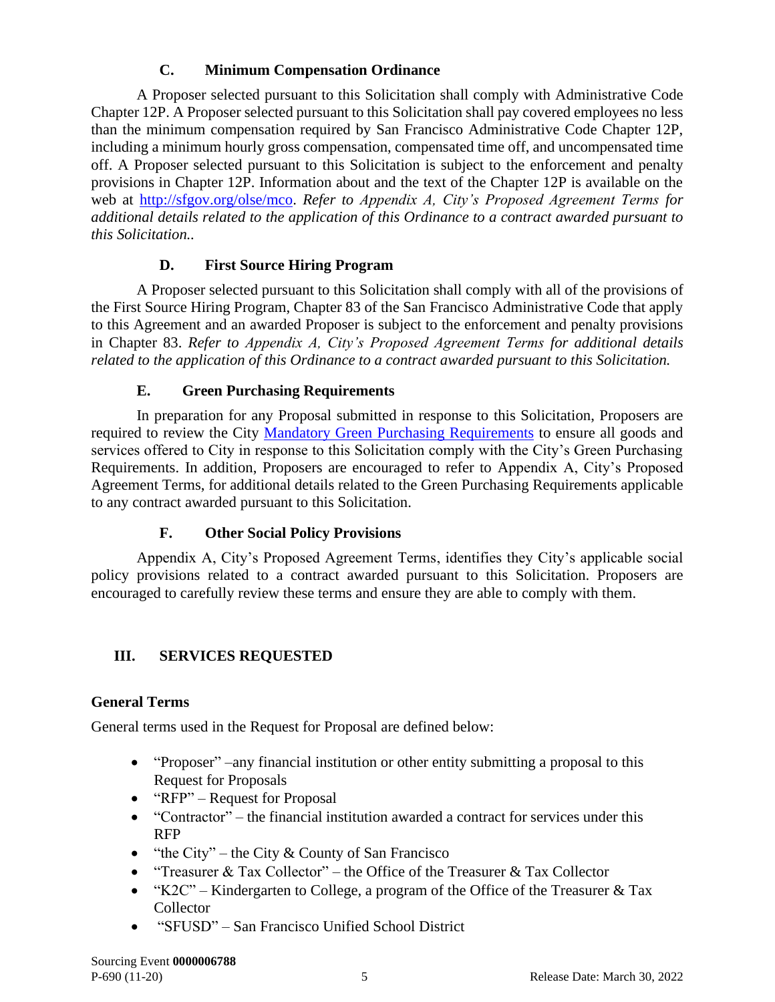# **C. Minimum Compensation Ordinance**

<span id="page-6-0"></span>A Proposer selected pursuant to this Solicitation shall comply with Administrative Code Chapter 12P. A Proposer selected pursuant to this Solicitation shall pay covered employees no less than the minimum compensation required by San Francisco Administrative Code Chapter 12P, including a minimum hourly gross compensation, compensated time off, and uncompensated time off. A Proposer selected pursuant to this Solicitation is subject to the enforcement and penalty provisions in Chapter 12P. Information about and the text of the Chapter 12P is available on the web at [http://sfgov.org/olse/mco.](http://sfgov.org/olse/mco) *Refer to Appendix A, City's Proposed Agreement Terms for additional details related to the application of this Ordinance to a contract awarded pursuant to this Solicitation..*

# **D. First Source Hiring Program**

<span id="page-6-1"></span>A Proposer selected pursuant to this Solicitation shall comply with all of the provisions of the First Source Hiring Program, Chapter 83 of the San Francisco Administrative Code that apply to this Agreement and an awarded Proposer is subject to the enforcement and penalty provisions in Chapter 83. *Refer to Appendix A, City's Proposed Agreement Terms for additional details related to the application of this Ordinance to a contract awarded pursuant to this Solicitation.*

# **E. Green Purchasing Requirements**

<span id="page-6-2"></span>In preparation for any Proposal submitted in response to this Solicitation, Proposers are required to review the City [Mandatory Green Purchasing Requirements](https://sfgov.org/oca/green-purchasing-requirements) to ensure all goods and services offered to City in response to this Solicitation comply with the City's Green Purchasing Requirements. In addition, Proposers are encouraged to refer to Appendix A, City's Proposed Agreement Terms, for additional details related to the Green Purchasing Requirements applicable to any contract awarded pursuant to this Solicitation.

# **F. Other Social Policy Provisions**

<span id="page-6-3"></span>Appendix A, City's Proposed Agreement Terms, identifies they City's applicable social policy provisions related to a contract awarded pursuant to this Solicitation. Proposers are encouraged to carefully review these terms and ensure they are able to comply with them.

# <span id="page-6-4"></span>**III. SERVICES REQUESTED**

# **General Terms**

General terms used in the Request for Proposal are defined below:

- "Proposer" –any financial institution or other entity submitting a proposal to this Request for Proposals
- "RFP" Request for Proposal
- "Contractor" the financial institution awarded a contract for services under this RFP
- "the City" the City  $&$  County of San Francisco
- "Treasurer & Tax Collector" the Office of the Treasurer & Tax Collector
- "K2C" Kindergarten to College, a program of the Office of the Treasurer  $&$  Tax Collector
- "SFUSD" San Francisco Unified School District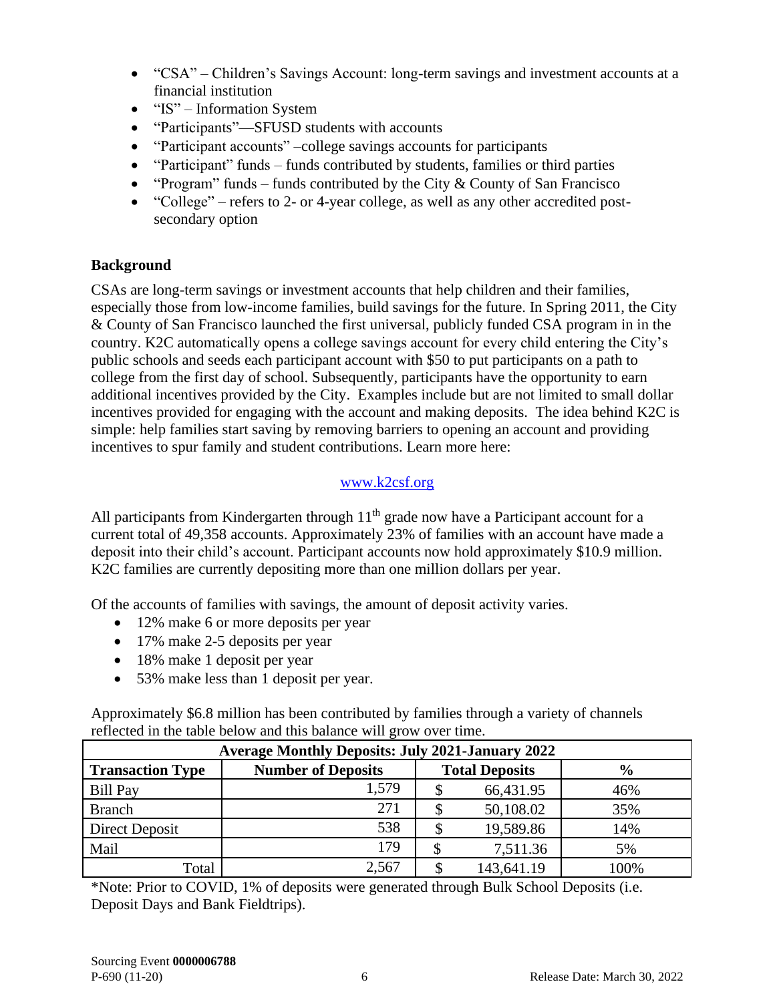- "CSA" Children's Savings Account: long-term savings and investment accounts at a financial institution
- "IS" Information System
- "Participants"—SFUSD students with accounts
- "Participant accounts" –college savings accounts for participants
- "Participant" funds funds contributed by students, families or third parties
- "Program" funds funds contributed by the City  $&$  County of San Francisco
- "College" refers to 2- or 4-year college, as well as any other accredited postsecondary option

# **Background**

CSAs are long-term savings or investment accounts that help children and their families, especially those from low-income families, build savings for the future. In Spring 2011, the City & County of San Francisco launched the first universal, publicly funded CSA program in in the country. K2C automatically opens a college savings account for every child entering the City's public schools and seeds each participant account with \$50 to put participants on a path to college from the first day of school. Subsequently, participants have the opportunity to earn additional incentives provided by the City. Examples include but are not limited to small dollar incentives provided for engaging with the account and making deposits. The idea behind K2C is simple: help families start saving by removing barriers to opening an account and providing incentives to spur family and student contributions. Learn more here:

# [www.k2csf.org](http://www.k2csf.org/)

All participants from Kindergarten through  $11<sup>th</sup>$  grade now have a Participant account for a current total of 49,358 accounts. Approximately 23% of families with an account have made a deposit into their child's account. Participant accounts now hold approximately \$10.9 million. K2C families are currently depositing more than one million dollars per year.

Of the accounts of families with savings, the amount of deposit activity varies.

- 12% make 6 or more deposits per year
- 17% make 2-5 deposits per year
- 18% make 1 deposit per year
- 53% make less than 1 deposit per year.

Approximately \$6.8 million has been contributed by families through a variety of channels reflected in the table below and this balance will grow over time.

| <b>Average Monthly Deposits: July 2021-January 2022</b> |                           |  |                       |               |  |
|---------------------------------------------------------|---------------------------|--|-----------------------|---------------|--|
| <b>Transaction Type</b>                                 | <b>Number of Deposits</b> |  | <b>Total Deposits</b> | $\frac{6}{9}$ |  |
| <b>Bill Pay</b>                                         | 1,579                     |  | 66,431.95             | 46%           |  |
| <b>Branch</b>                                           | 271                       |  | 50,108.02             | 35%           |  |
| Direct Deposit                                          | 538                       |  | 19,589.86             | 14%           |  |
| Mail                                                    | 179                       |  | 7,511.36              | 5%            |  |
| Total                                                   | 2,567                     |  | 143,641.19            | 100%          |  |

\*Note: Prior to COVID, 1% of deposits were generated through Bulk School Deposits (i.e. Deposit Days and Bank Fieldtrips).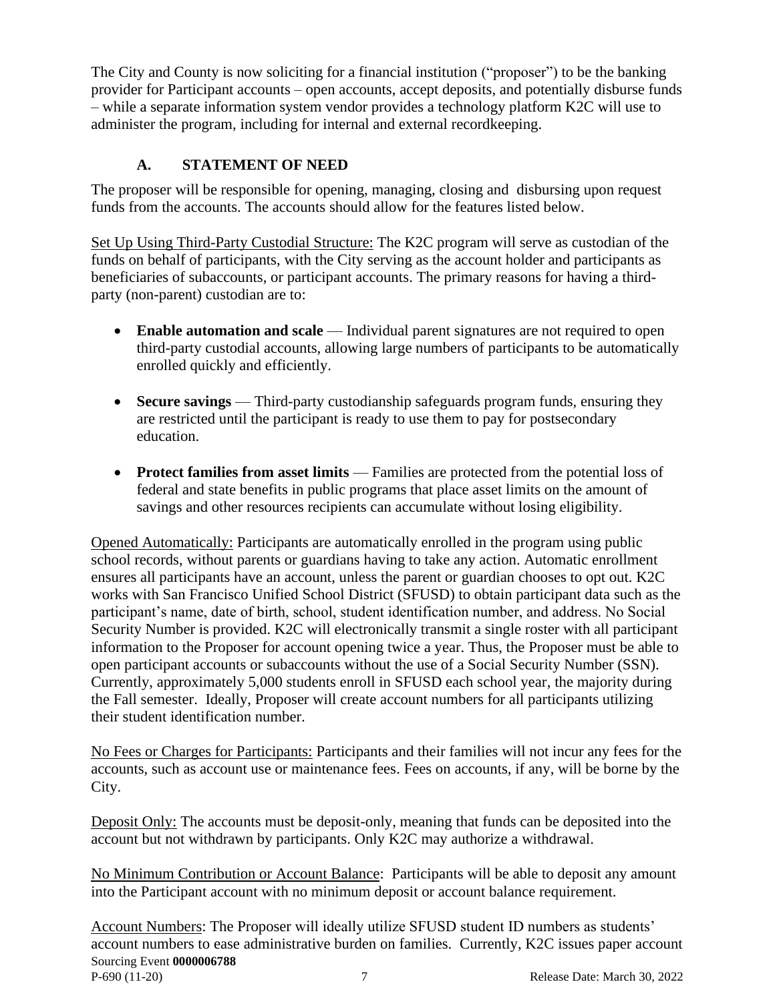The City and County is now soliciting for a financial institution ("proposer") to be the banking provider for Participant accounts – open accounts, accept deposits, and potentially disburse funds – while a separate information system vendor provides a technology platform K2C will use to administer the program, including for internal and external recordkeeping.

# **A. STATEMENT OF NEED**

<span id="page-8-0"></span>The proposer will be responsible for opening, managing, closing and disbursing upon request funds from the accounts. The accounts should allow for the features listed below.

Set Up Using Third-Party Custodial Structure: The K2C program will serve as custodian of the funds on behalf of participants, with the City serving as the account holder and participants as beneficiaries of subaccounts, or participant accounts. The primary reasons for having a thirdparty (non-parent) custodian are to:

- **Enable automation and scale** Individual parent signatures are not required to open third-party custodial accounts, allowing large numbers of participants to be automatically enrolled quickly and efficiently.
- **Secure savings** Third-party custodianship safeguards program funds, ensuring they are restricted until the participant is ready to use them to pay for postsecondary education.
- **Protect families from asset limits** Families are protected from the potential loss of federal and state benefits in public programs that place asset limits on the amount of savings and other resources recipients can accumulate without losing eligibility.

Opened Automatically: Participants are automatically enrolled in the program using public school records, without parents or guardians having to take any action. Automatic enrollment ensures all participants have an account, unless the parent or guardian chooses to opt out. K2C works with San Francisco Unified School District (SFUSD) to obtain participant data such as the participant's name, date of birth, school, student identification number, and address. No Social Security Number is provided. K2C will electronically transmit a single roster with all participant information to the Proposer for account opening twice a year. Thus, the Proposer must be able to open participant accounts or subaccounts without the use of a Social Security Number (SSN). Currently, approximately 5,000 students enroll in SFUSD each school year, the majority during the Fall semester. Ideally, Proposer will create account numbers for all participants utilizing their student identification number.

No Fees or Charges for Participants: Participants and their families will not incur any fees for the accounts, such as account use or maintenance fees. Fees on accounts, if any, will be borne by the City.

Deposit Only: The accounts must be deposit-only, meaning that funds can be deposited into the account but not withdrawn by participants. Only K2C may authorize a withdrawal.

No Minimum Contribution or Account Balance: Participants will be able to deposit any amount into the Participant account with no minimum deposit or account balance requirement.

Sourcing Event **0000006788** P-690 (11-20) 7 Release Date: March 30, 2022 Account Numbers: The Proposer will ideally utilize SFUSD student ID numbers as students' account numbers to ease administrative burden on families. Currently, K2C issues paper account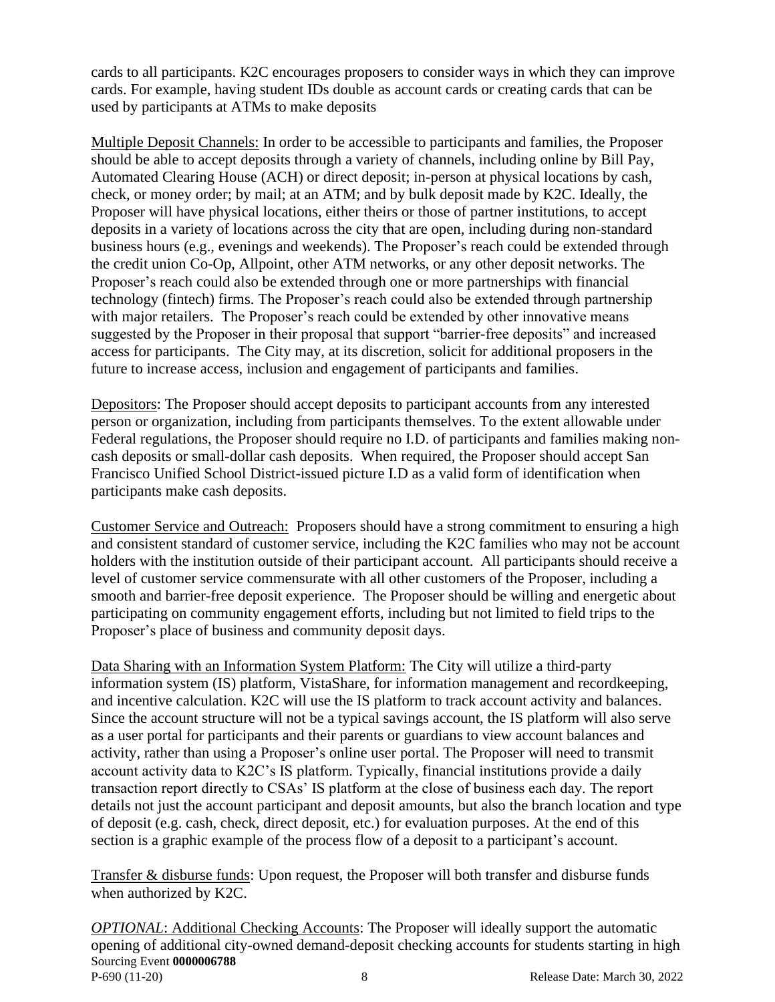cards to all participants. K2C encourages proposers to consider ways in which they can improve cards. For example, having student IDs double as account cards or creating cards that can be used by participants at ATMs to make deposits

Multiple Deposit Channels: In order to be accessible to participants and families, the Proposer should be able to accept deposits through a variety of channels, including online by Bill Pay, Automated Clearing House (ACH) or direct deposit; in-person at physical locations by cash, check, or money order; by mail; at an ATM; and by bulk deposit made by K2C. Ideally, the Proposer will have physical locations, either theirs or those of partner institutions, to accept deposits in a variety of locations across the city that are open, including during non-standard business hours (e.g., evenings and weekends). The Proposer's reach could be extended through the credit union Co-Op, Allpoint, other ATM networks, or any other deposit networks. The Proposer's reach could also be extended through one or more partnerships with financial technology (fintech) firms. The Proposer's reach could also be extended through partnership with major retailers. The Proposer's reach could be extended by other innovative means suggested by the Proposer in their proposal that support "barrier-free deposits" and increased access for participants. The City may, at its discretion, solicit for additional proposers in the future to increase access, inclusion and engagement of participants and families.

Depositors: The Proposer should accept deposits to participant accounts from any interested person or organization, including from participants themselves. To the extent allowable under Federal regulations, the Proposer should require no I.D. of participants and families making noncash deposits or small-dollar cash deposits. When required, the Proposer should accept San Francisco Unified School District-issued picture I.D as a valid form of identification when participants make cash deposits.

Customer Service and Outreach: Proposers should have a strong commitment to ensuring a high and consistent standard of customer service, including the K2C families who may not be account holders with the institution outside of their participant account. All participants should receive a level of customer service commensurate with all other customers of the Proposer, including a smooth and barrier-free deposit experience. The Proposer should be willing and energetic about participating on community engagement efforts, including but not limited to field trips to the Proposer's place of business and community deposit days.

Data Sharing with an Information System Platform: The City will utilize a third-party information system (IS) platform, VistaShare, for information management and recordkeeping, and incentive calculation. K2C will use the IS platform to track account activity and balances. Since the account structure will not be a typical savings account, the IS platform will also serve as a user portal for participants and their parents or guardians to view account balances and activity, rather than using a Proposer's online user portal. The Proposer will need to transmit account activity data to K2C's IS platform. Typically, financial institutions provide a daily transaction report directly to CSAs' IS platform at the close of business each day. The report details not just the account participant and deposit amounts, but also the branch location and type of deposit (e.g. cash, check, direct deposit, etc.) for evaluation purposes. At the end of this section is a graphic example of the process flow of a deposit to a participant's account.

Transfer & disburse funds: Upon request, the Proposer will both transfer and disburse funds when authorized by K2C.

Sourcing Event **0000006788** P-690 (11-20) 8 Release Date: March 30, 2022 *OPTIONAL*: Additional Checking Accounts: The Proposer will ideally support the automatic opening of additional city-owned demand-deposit checking accounts for students starting in high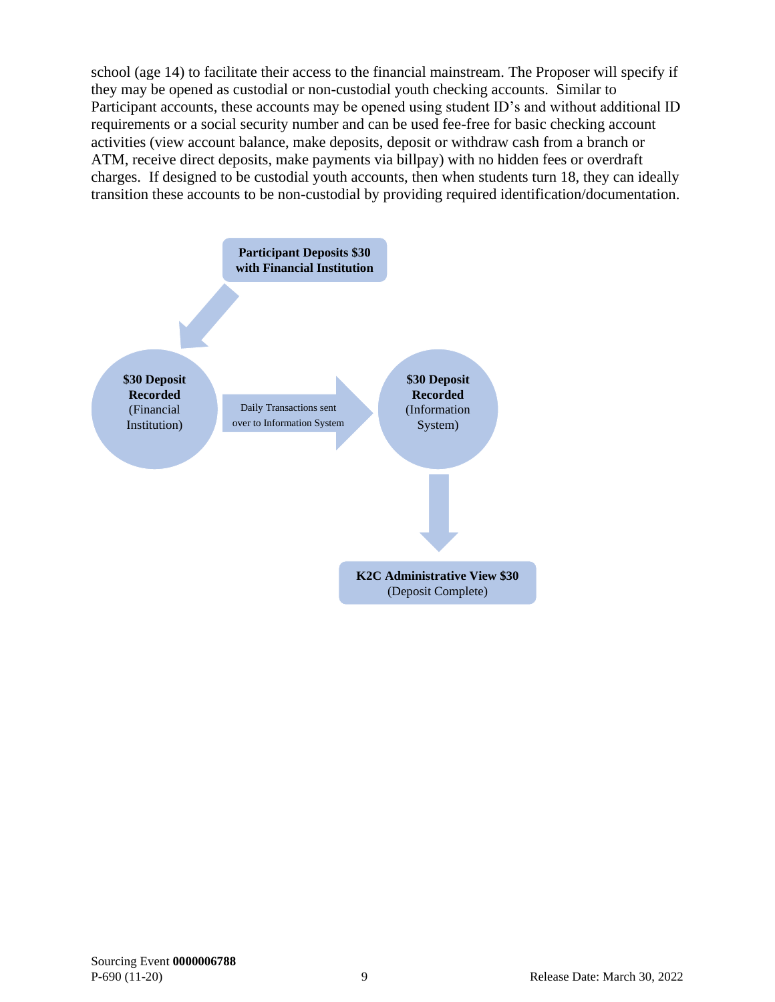school (age 14) to facilitate their access to the financial mainstream. The Proposer will specify if they may be opened as custodial or non-custodial youth checking accounts. Similar to Participant accounts, these accounts may be opened using student ID's and without additional ID requirements or a social security number and can be used fee-free for basic checking account activities (view account balance, make deposits, deposit or withdraw cash from a branch or ATM, receive direct deposits, make payments via billpay) with no hidden fees or overdraft charges. If designed to be custodial youth accounts, then when students turn 18, they can ideally transition these accounts to be non-custodial by providing required identification/documentation.

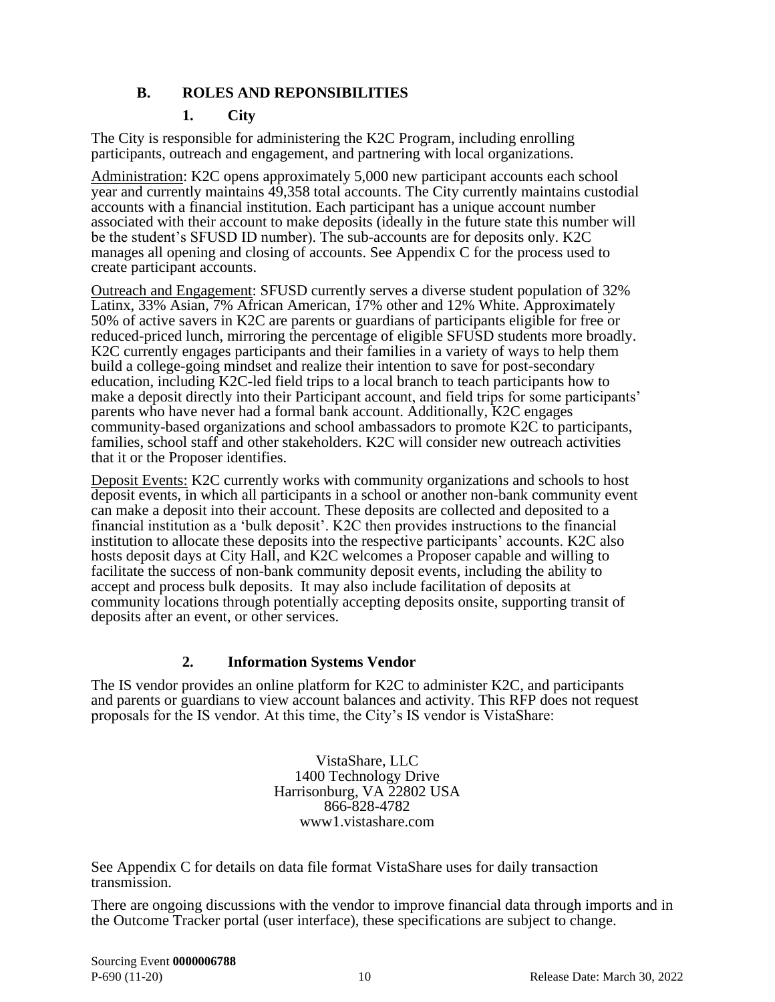#### **B. ROLES AND REPONSIBILITIES**

#### <span id="page-11-0"></span>**1. City**

The City is responsible for administering the K2C Program, including enrolling participants, outreach and engagement, and partnering with local organizations.

Administration: K2C opens approximately 5,000 new participant accounts each school year and currently maintains 49,358 total accounts. The City currently maintains custodial accounts with a financial institution. Each participant has a unique account number associated with their account to make deposits (ideally in the future state this number will be the student's SFUSD ID number). The sub-accounts are for deposits only. K2C manages all opening and closing of accounts. See Appendix C for the process used to create participant accounts.

Outreach and Engagement: SFUSD currently serves a diverse student population of 32% Latinx, 33% Asian, 7% African American, 17% other and 12% White. Approximately 50% of active savers in K2C are parents or guardians of participants eligible for free or reduced-priced lunch, mirroring the percentage of eligible SFUSD students more broadly. K2C currently engages participants and their families in a variety of ways to help them build a college-going mindset and realize their intention to save for post-secondary education, including K2C-led field trips to a local branch to teach participants how to make a deposit directly into their Participant account, and field trips for some participants' parents who have never had a formal bank account. Additionally, K2C engages community-based organizations and school ambassadors to promote K2C to participants, families, school staff and other stakeholders. K2C will consider new outreach activities that it or the Proposer identifies.

Deposit Events: K2C currently works with community organizations and schools to host deposit events, in which all participants in a school or another non-bank community event can make a deposit into their account. These deposits are collected and deposited to a financial institution as a 'bulk deposit'. K2C then provides instructions to the financial institution to allocate these deposits into the respective participants' accounts. K2C also hosts deposit days at City Hall, and K2C welcomes a Proposer capable and willing to facilitate the success of non-bank community deposit events, including the ability to accept and process bulk deposits. It may also include facilitation of deposits at community locations through potentially accepting deposits onsite, supporting transit of deposits after an event, or other services.

#### **2. Information Systems Vendor**

The IS vendor provides an online platform for K2C to administer K2C, and participants and parents or guardians to view account balances and activity. This RFP does not request proposals for the IS vendor. At this time, the City's IS vendor is VistaShare:

> VistaShare, LLC 1400 Technology Drive Harrisonburg, VA 22802 USA 866-828-4782 www1.vistashare.com

See Appendix C for details on data file format VistaShare uses for daily transaction transmission.

There are ongoing discussions with the vendor to improve financial data through imports and in the Outcome Tracker portal (user interface), these specifications are subject to change.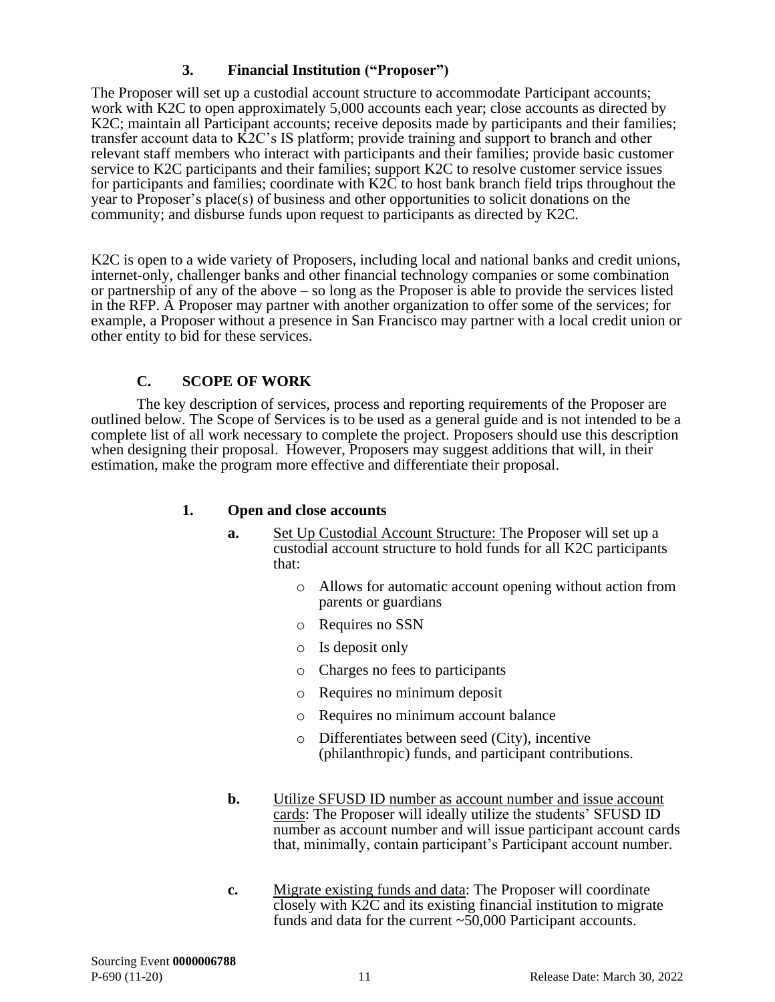## **3. Financial Institution ("Proposer")**

The Proposer will set up a custodial account structure to accommodate Participant accounts; work with K2C to open approximately 5,000 accounts each year; close accounts as directed by K2C; maintain all Participant accounts; receive deposits made by participants and their families; transfer account data to K2C's IS platform; provide training and support to branch and other relevant staff members who interact with participants and their families; provide basic customer service to K2C participants and their families; support K2C to resolve customer service issues for participants and families; coordinate with K2C to host bank branch field trips throughout the year to Proposer's place(s) of business and other opportunities to solicit donations on the community; and disburse funds upon request to participants as directed by K2C.

K2C is open to a wide variety of Proposers, including local and national banks and credit unions, internet-only, challenger banks and other financial technology companies or some combination or partnership of any of the above – so long as the Proposer is able to provide the services listed in the RFP. A Proposer may partner with another organization to offer some of the services; for example, a Proposer without a presence in San Francisco may partner with a local credit union or other entity to bid for these services.

#### **C. SCOPE OF WORK**

<span id="page-12-0"></span>The key description of services, process and reporting requirements of the Proposer are outlined below. The Scope of Services is to be used as a general guide and is not intended to be a complete list of all work necessary to complete the project. Proposers should use this description when designing their proposal. However, Proposers may suggest additions that will, in their estimation, make the program more effective and differentiate their proposal.

#### **1. Open and close accounts**

- **a.** Set Up Custodial Account Structure: The Proposer will set up a custodial account structure to hold funds for all K2C participants that:
	- o Allows for automatic account opening without action from parents or guardians
	- o Requires no SSN
	- o Is deposit only
	- o Charges no fees to participants
	- o Requires no minimum deposit
	- o Requires no minimum account balance
	- o Differentiates between seed (City), incentive (philanthropic) funds, and participant contributions.
- **b.** Utilize SFUSD ID number as account number and issue account cards: The Proposer will ideally utilize the students' SFUSD ID number as account number and will issue participant account cards that, minimally, contain participant's Participant account number.
- **c.** Migrate existing funds and data: The Proposer will coordinate closely with K2C and its existing financial institution to migrate funds and data for the current  $\sim 50,000$  Participant accounts.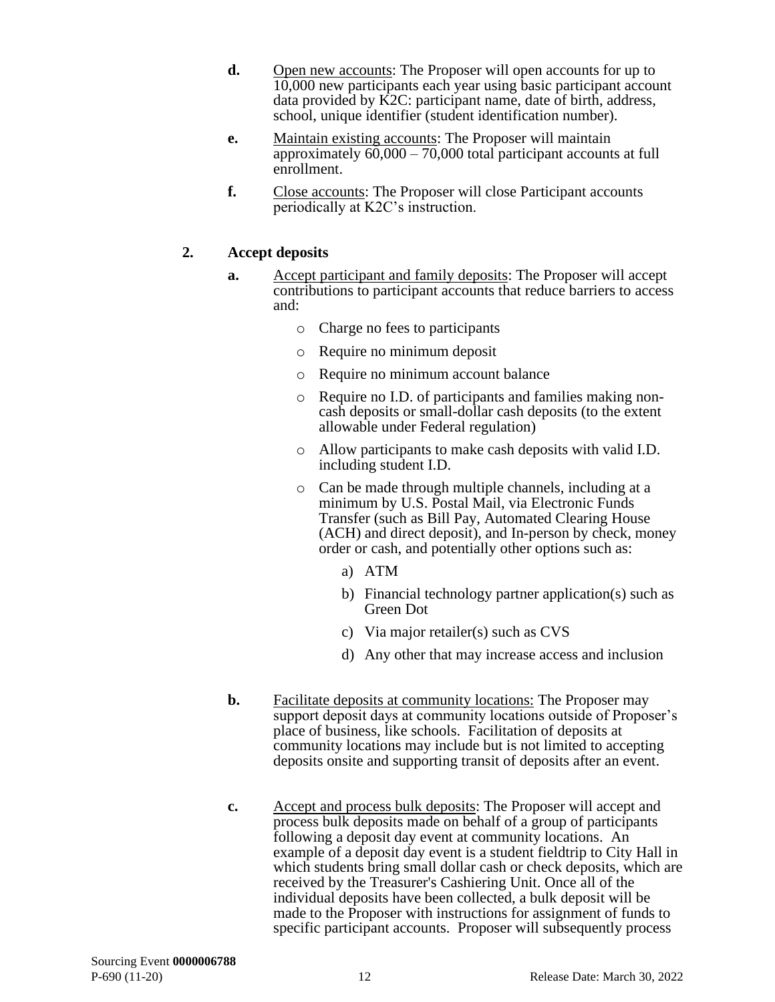- **d.** Open new accounts: The Proposer will open accounts for up to 10,000 new participants each year using basic participant account data provided by K2C: participant name, date of birth, address, school, unique identifier (student identification number).
- **e.** Maintain existing accounts: The Proposer will maintain approximately 60,000 – 70,000 total participant accounts at full enrollment.
- **f.** Close accounts: The Proposer will close Participant accounts periodically at K2C's instruction.

#### **2. Accept deposits**

- **a.** Accept participant and family deposits: The Proposer will accept contributions to participant accounts that reduce barriers to access and:
	- o Charge no fees to participants
	- o Require no minimum deposit
	- o Require no minimum account balance
	- o Require no I.D. of participants and families making noncash deposits or small-dollar cash deposits (to the extent allowable under Federal regulation)
	- o Allow participants to make cash deposits with valid I.D. including student I.D.
	- o Can be made through multiple channels, including at a minimum by U.S. Postal Mail, via Electronic Funds Transfer (such as Bill Pay, Automated Clearing House (ACH) and direct deposit), and In-person by check, money order or cash, and potentially other options such as:
		- a) ATM
		- b) Financial technology partner application(s) such as Green Dot
		- c) Via major retailer(s) such as CVS
		- d) Any other that may increase access and inclusion
- **b.** Facilitate deposits at community locations: The Proposer may support deposit days at community locations outside of Proposer's place of business, like schools. Facilitation of deposits at community locations may include but is not limited to accepting deposits onsite and supporting transit of deposits after an event.
- **c.** Accept and process bulk deposits: The Proposer will accept and process bulk deposits made on behalf of a group of participants following a deposit day event at community locations. An example of a deposit day event is a student fieldtrip to City Hall in which students bring small dollar cash or check deposits, which are received by the Treasurer's Cashiering Unit. Once all of the individual deposits have been collected, a bulk deposit will be made to the Proposer with instructions for assignment of funds to specific participant accounts. Proposer will subsequently process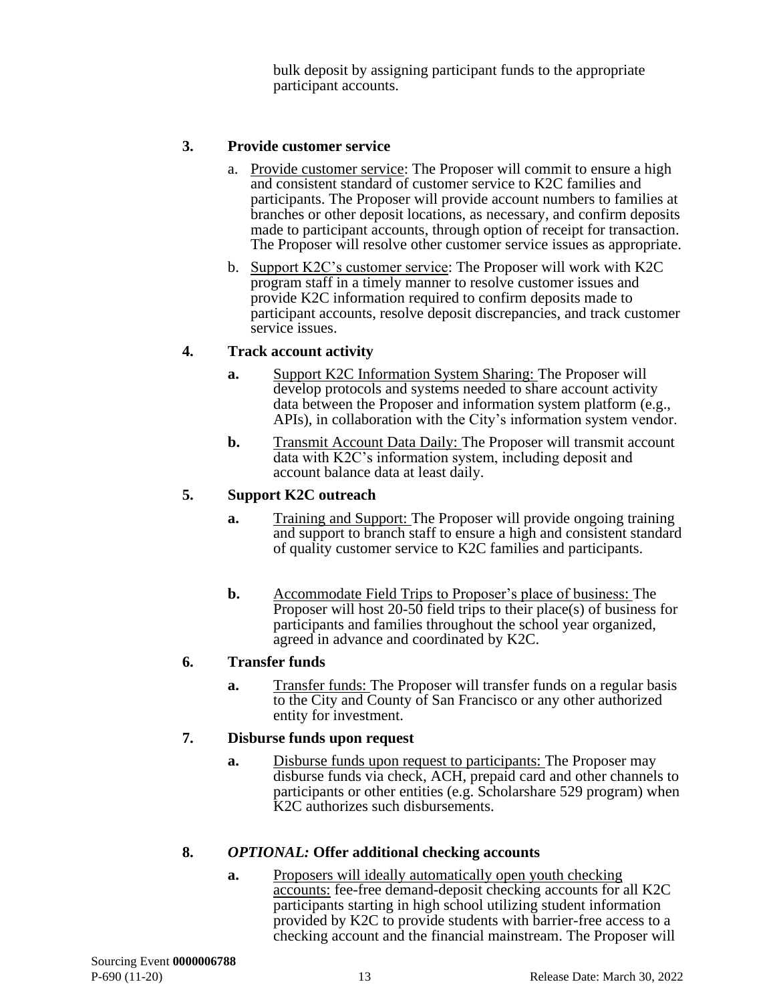bulk deposit by assigning participant funds to the appropriate participant accounts.

#### **3. Provide customer service**

- a. Provide customer service: The Proposer will commit to ensure a high and consistent standard of customer service to K2C families and participants. The Proposer will provide account numbers to families at branches or other deposit locations, as necessary, and confirm deposits made to participant accounts, through option of receipt for transaction. The Proposer will resolve other customer service issues as appropriate.
- b. Support K2C's customer service: The Proposer will work with K2C program staff in a timely manner to resolve customer issues and provide K2C information required to confirm deposits made to participant accounts, resolve deposit discrepancies, and track customer service issues.

#### **4. Track account activity**

- **a.** Support K2C Information System Sharing: The Proposer will develop protocols and systems needed to share account activity data between the Proposer and information system platform (e.g., APIs), in collaboration with the City's information system vendor.
- **b.** Transmit Account Data Daily: The Proposer will transmit account data with K2C's information system, including deposit and account balance data at least daily.

#### **5. Support K2C outreach**

- **a.** Training and Support: The Proposer will provide ongoing training and support to branch staff to ensure a high and consistent standard of quality customer service to K2C families and participants.
- **b.** Accommodate Field Trips to Proposer's place of business: The Proposer will host 20-50 field trips to their place(s) of business for participants and families throughout the school year organized, agreed in advance and coordinated by K2C.

#### **6. Transfer funds**

**a.** Transfer funds: The Proposer will transfer funds on a regular basis to the City and County of San Francisco or any other authorized entity for investment.

#### **7. Disburse funds upon request**

**a.** Disburse funds upon request to participants: The Proposer may disburse funds via check, ACH, prepaid card and other channels to participants or other entities (e.g. Scholarshare 529 program) when K2C authorizes such disbursements.

#### **8.** *OPTIONAL:* **Offer additional checking accounts**

**a.** Proposers will ideally automatically open youth checking accounts: fee-free demand-deposit checking accounts for all K2C participants starting in high school utilizing student information provided by K2C to provide students with barrier-free access to a checking account and the financial mainstream. The Proposer will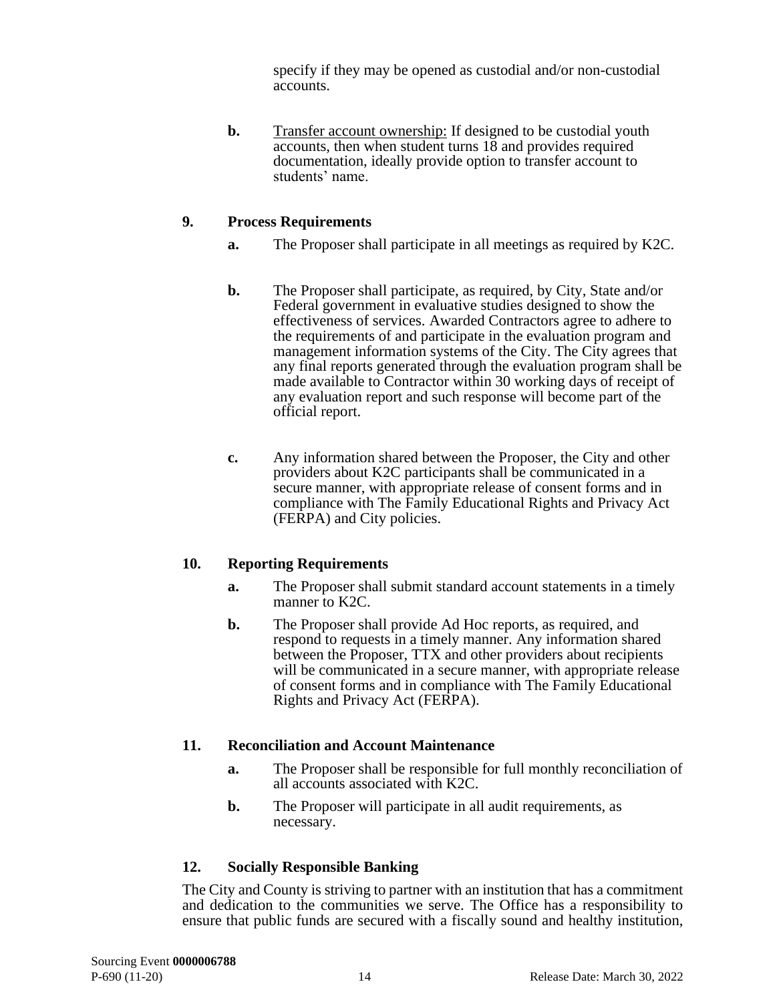specify if they may be opened as custodial and/or non-custodial accounts.

**b.** Transfer account ownership: If designed to be custodial youth accounts, then when student turns 18 and provides required documentation, ideally provide option to transfer account to students' name.

#### **9. Process Requirements**

- **a.** The Proposer shall participate in all meetings as required by K2C.
- **b.** The Proposer shall participate, as required, by City, State and/or Federal government in evaluative studies designed to show the effectiveness of services. Awarded Contractors agree to adhere to the requirements of and participate in the evaluation program and management information systems of the City. The City agrees that any final reports generated through the evaluation program shall be made available to Contractor within 30 working days of receipt of any evaluation report and such response will become part of the official report.
- **c.** Any information shared between the Proposer, the City and other providers about K2C participants shall be communicated in a secure manner, with appropriate release of consent forms and in compliance with The Family Educational Rights and Privacy Act (FERPA) and City policies.

#### **10. Reporting Requirements**

- **a.** The Proposer shall submit standard account statements in a timely manner to K2C.
- **b.** The Proposer shall provide Ad Hoc reports, as required, and respond to requests in a timely manner. Any information shared between the Proposer, TTX and other providers about recipients will be communicated in a secure manner, with appropriate release of consent forms and in compliance with The Family Educational Rights and Privacy Act (FERPA).

#### **11. Reconciliation and Account Maintenance**

- **a.** The Proposer shall be responsible for full monthly reconciliation of all accounts associated with K2C.
- **b.** The Proposer will participate in all audit requirements, as necessary.

#### **12. Socially Responsible Banking**

The City and County is striving to partner with an institution that has a commitment and dedication to the communities we serve. The Office has a responsibility to ensure that public funds are secured with a fiscally sound and healthy institution,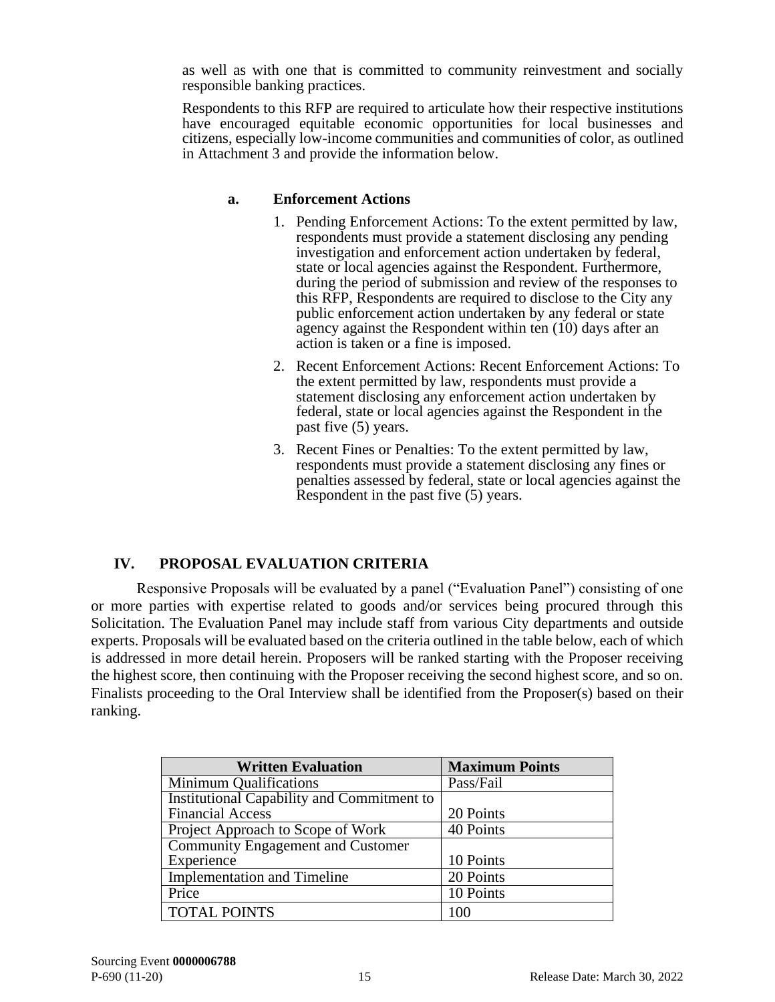as well as with one that is committed to community reinvestment and socially responsible banking practices.

Respondents to this RFP are required to articulate how their respective institutions have encouraged equitable economic opportunities for local businesses and citizens, especially low-income communities and communities of color, as outlined in Attachment 3 and provide the information below.

#### **a. Enforcement Actions**

- 1. Pending Enforcement Actions: To the extent permitted by law, respondents must provide a statement disclosing any pending investigation and enforcement action undertaken by federal, state or local agencies against the Respondent. Furthermore, during the period of submission and review of the responses to this RFP, Respondents are required to disclose to the City any public enforcement action undertaken by any federal or state agency against the Respondent within ten (10) days after an action is taken or a fine is imposed.
- 2. Recent Enforcement Actions: Recent Enforcement Actions: To the extent permitted by law, respondents must provide a statement disclosing any enforcement action undertaken by federal, state or local agencies against the Respondent in the past five (5) years.
- 3. Recent Fines or Penalties: To the extent permitted by law, respondents must provide a statement disclosing any fines or penalties assessed by federal, state or local agencies against the Respondent in the past five (5) years.

# <span id="page-16-0"></span>**IV. PROPOSAL EVALUATION CRITERIA**

Responsive Proposals will be evaluated by a panel ("Evaluation Panel") consisting of one or more parties with expertise related to goods and/or services being procured through this Solicitation. The Evaluation Panel may include staff from various City departments and outside experts. Proposals will be evaluated based on the criteria outlined in the table below, each of which is addressed in more detail herein. Proposers will be ranked starting with the Proposer receiving the highest score, then continuing with the Proposer receiving the second highest score, and so on. Finalists proceeding to the Oral Interview shall be identified from the Proposer(s) based on their ranking.

| <b>Written Evaluation</b>                  | <b>Maximum Points</b> |
|--------------------------------------------|-----------------------|
| Minimum Qualifications                     | Pass/Fail             |
| Institutional Capability and Commitment to |                       |
| <b>Financial Access</b>                    | 20 Points             |
| Project Approach to Scope of Work          | 40 Points             |
| <b>Community Engagement and Customer</b>   |                       |
| Experience                                 | 10 Points             |
| <b>Implementation and Timeline</b>         | 20 Points             |
| Price                                      | 10 Points             |
| <b>TOTAL POINTS</b>                        | 100                   |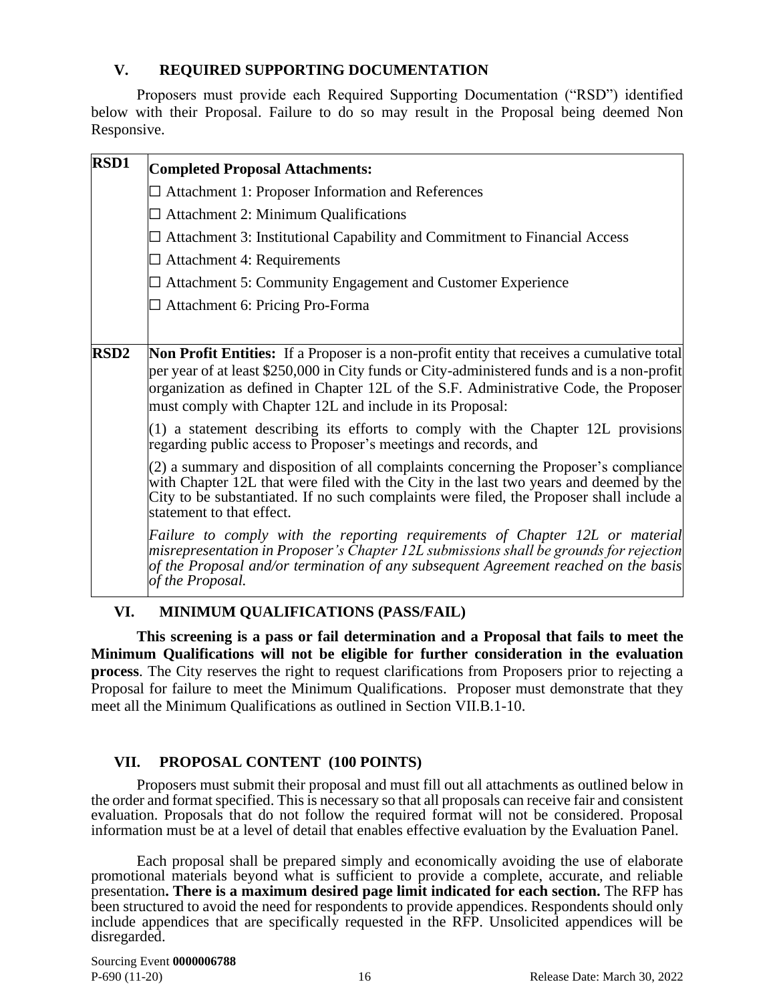### <span id="page-17-0"></span>**V. REQUIRED SUPPORTING DOCUMENTATION**

Proposers must provide each Required Supporting Documentation ("RSD") identified below with their Proposal. Failure to do so may result in the Proposal being deemed Non Responsive.

| RSD1             | <b>Completed Proposal Attachments:</b>                                                                                                                                                                                                                                                                                                         |
|------------------|------------------------------------------------------------------------------------------------------------------------------------------------------------------------------------------------------------------------------------------------------------------------------------------------------------------------------------------------|
|                  | $\Box$ Attachment 1: Proposer Information and References                                                                                                                                                                                                                                                                                       |
|                  | $\Box$ Attachment 2: Minimum Qualifications                                                                                                                                                                                                                                                                                                    |
|                  | $\Box$ Attachment 3: Institutional Capability and Commitment to Financial Access                                                                                                                                                                                                                                                               |
|                  | $\Box$ Attachment 4: Requirements                                                                                                                                                                                                                                                                                                              |
|                  | $\Box$ Attachment 5: Community Engagement and Customer Experience                                                                                                                                                                                                                                                                              |
|                  | $\Box$ Attachment 6: Pricing Pro-Forma                                                                                                                                                                                                                                                                                                         |
|                  |                                                                                                                                                                                                                                                                                                                                                |
| RSD <sub>2</sub> | Non Profit Entities: If a Proposer is a non-profit entity that receives a cumulative total<br>per year of at least \$250,000 in City funds or City-administered funds and is a non-profit<br>organization as defined in Chapter 12L of the S.F. Administrative Code, the Proposer<br>must comply with Chapter 12L and include in its Proposal: |
|                  | $(1)$ a statement describing its efforts to comply with the Chapter 12L provisions<br>regarding public access to Proposer's meetings and records, and                                                                                                                                                                                          |
|                  | $(2)$ a summary and disposition of all complaints concerning the Proposer's compliance<br>with Chapter 12L that were filed with the City in the last two years and deemed by the<br>City to be substantiated. If no such complaints were filed, the Proposer shall include a<br>statement to that effect.                                      |
|                  | Failure to comply with the reporting requirements of Chapter 12L or material<br>misrepresentation in Proposer's Chapter 12L submissions shall be grounds for rejection<br>of the Proposal and/or termination of any subsequent Agreement reached on the basis<br>of the Proposal.                                                              |

#### <span id="page-17-1"></span>**VI. MINIMUM QUALIFICATIONS (PASS/FAIL)**

**This screening is a pass or fail determination and a Proposal that fails to meet the Minimum Qualifications will not be eligible for further consideration in the evaluation process**. The City reserves the right to request clarifications from Proposers prior to rejecting a Proposal for failure to meet the Minimum Qualifications. Proposer must demonstrate that they meet all the Minimum Qualifications as outlined in Section VII.B.1-10.

#### <span id="page-17-2"></span>**VII. PROPOSAL CONTENT (100 POINTS)**

Proposers must submit their proposal and must fill out all attachments as outlined below in the order and format specified. This is necessary so that all proposals can receive fair and consistent evaluation. Proposals that do not follow the required format will not be considered. Proposal information must be at a level of detail that enables effective evaluation by the Evaluation Panel.

Each proposal shall be prepared simply and economically avoiding the use of elaborate promotional materials beyond what is sufficient to provide a complete, accurate, and reliable presentation**. There is a maximum desired page limit indicated for each section.** The RFP has been structured to avoid the need for respondents to provide appendices. Respondents should only include appendices that are specifically requested in the RFP. Unsolicited appendices will be disregarded.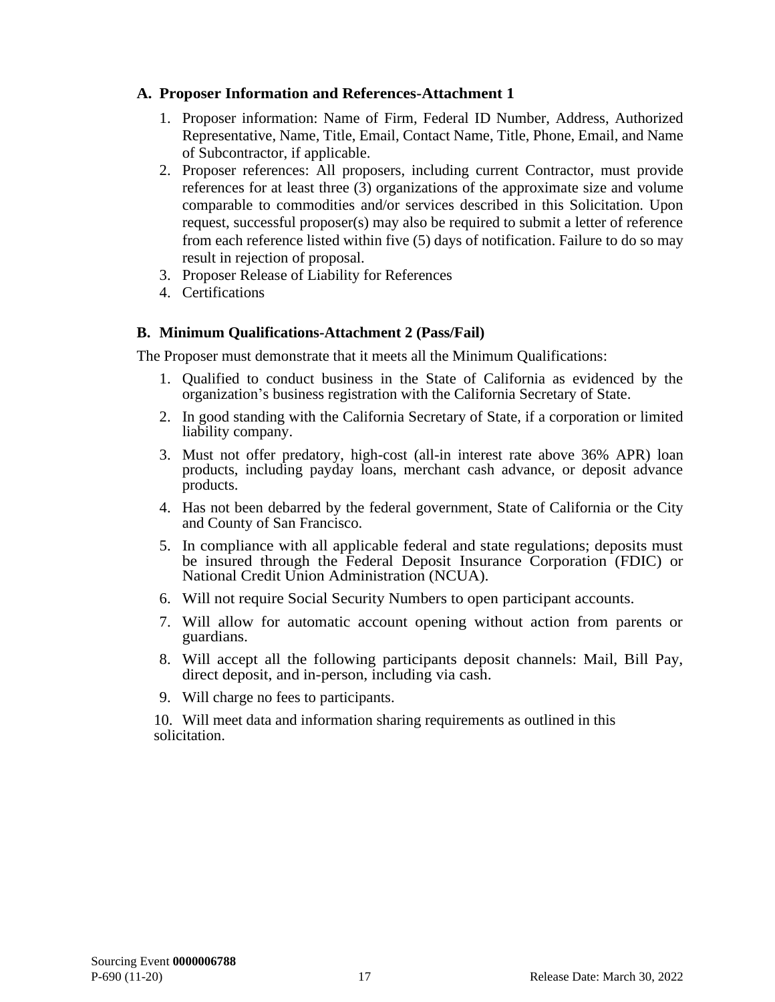#### **A. Proposer Information and References-Attachment 1**

- 1. Proposer information: Name of Firm, Federal ID Number, Address, Authorized Representative, Name, Title, Email, Contact Name, Title, Phone, Email, and Name of Subcontractor, if applicable.
- 2. Proposer references: All proposers, including current Contractor, must provide references for at least three (3) organizations of the approximate size and volume comparable to commodities and/or services described in this Solicitation. Upon request, successful proposer(s) may also be required to submit a letter of reference from each reference listed within five (5) days of notification. Failure to do so may result in rejection of proposal.
- 3. Proposer Release of Liability for References
- 4. Certifications

## **B. Minimum Qualifications-Attachment 2 (Pass/Fail)**

The Proposer must demonstrate that it meets all the Minimum Qualifications:

- 1. Qualified to conduct business in the State of California as evidenced by the organization's business registration with the California Secretary of State.
- 2. In good standing with the California Secretary of State, if a corporation or limited liability company.
- 3. Must not offer predatory, high-cost (all-in interest rate above 36% APR) loan products, including payday loans, merchant cash advance, or deposit advance products.
- 4. Has not been debarred by the federal government, State of California or the City and County of San Francisco.
- 5. In compliance with all applicable federal and state regulations; deposits must be insured through the Federal Deposit Insurance Corporation (FDIC) or National Credit Union Administration (NCUA).
- 6. Will not require Social Security Numbers to open participant accounts.
- 7. Will allow for automatic account opening without action from parents or guardians.
- 8. Will accept all the following participants deposit channels: Mail, Bill Pay, direct deposit, and in-person, including via cash.
- 9. Will charge no fees to participants.

10. Will meet data and information sharing requirements as outlined in this solicitation.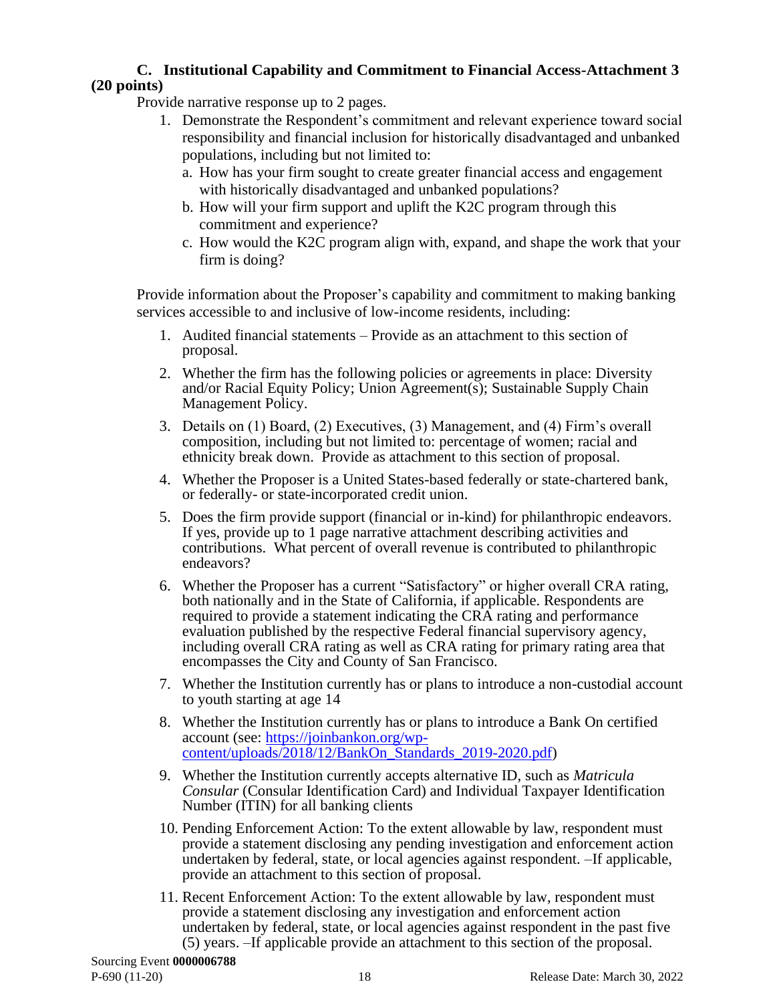#### **C. Institutional Capability and Commitment to Financial Access-Attachment 3 (20 points)**

Provide narrative response up to 2 pages.

- 1. Demonstrate the Respondent's commitment and relevant experience toward social responsibility and financial inclusion for historically disadvantaged and unbanked populations, including but not limited to:
	- a. How has your firm sought to create greater financial access and engagement with historically disadvantaged and unbanked populations?
	- b. How will your firm support and uplift the K2C program through this commitment and experience?
	- c. How would the K2C program align with, expand, and shape the work that your firm is doing?

Provide information about the Proposer's capability and commitment to making banking services accessible to and inclusive of low-income residents, including:

- 1. Audited financial statements Provide as an attachment to this section of proposal.
- 2. Whether the firm has the following policies or agreements in place: Diversity and/or Racial Equity Policy; Union Agreement(s); Sustainable Supply Chain Management Policy.
- 3. Details on (1) Board, (2) Executives, (3) Management, and (4) Firm's overall composition, including but not limited to: percentage of women; racial and ethnicity break down. Provide as attachment to this section of proposal.
- 4. Whether the Proposer is a United States-based federally or state-chartered bank, or federally- or state-incorporated credit union.
- 5. Does the firm provide support (financial or in-kind) for philanthropic endeavors. If yes, provide up to 1 page narrative attachment describing activities and contributions. What percent of overall revenue is contributed to philanthropic endeavors?
- 6. Whether the Proposer has a current "Satisfactory" or higher overall CRA rating, both nationally and in the State of California, if applicable. Respondents are required to provide a statement indicating the CRA rating and performance evaluation published by the respective Federal financial supervisory agency, including overall CRA rating as well as CRA rating for primary rating area that encompasses the City and County of San Francisco.
- 7. Whether the Institution currently has or plans to introduce a non-custodial account to youth starting at age 14
- 8. Whether the Institution currently has or plans to introduce a Bank On certified account (see: [https://joinbankon.org/wp](https://joinbankon.org/wp-content/uploads/2018/12/BankOn_Standards_2019-2020.pdf)[content/uploads/2018/12/BankOn\\_Standards\\_2019-2020.pdf\)](https://joinbankon.org/wp-content/uploads/2018/12/BankOn_Standards_2019-2020.pdf)
- 9. Whether the Institution currently accepts alternative ID, such as *Matricula Consular* (Consular Identification Card) and Individual Taxpayer Identification Number (ITIN) for all banking clients
- 10. Pending Enforcement Action: To the extent allowable by law, respondent must provide a statement disclosing any pending investigation and enforcement action undertaken by federal, state, or local agencies against respondent. –If applicable, provide an attachment to this section of proposal.
- 11. Recent Enforcement Action: To the extent allowable by law, respondent must provide a statement disclosing any investigation and enforcement action undertaken by federal, state, or local agencies against respondent in the past five (5) years. –If applicable provide an attachment to this section of the proposal.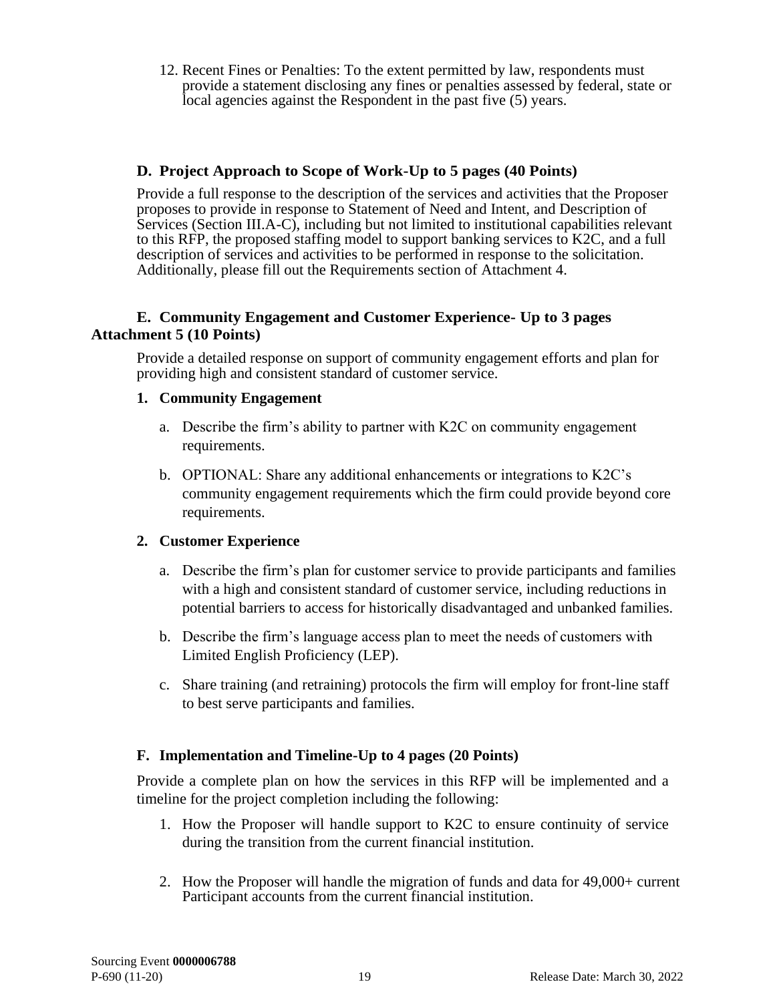12. Recent Fines or Penalties: To the extent permitted by law, respondents must provide a statement disclosing any fines or penalties assessed by federal, state or local agencies against the Respondent in the past five (5) years.

#### **D. Project Approach to Scope of Work-Up to 5 pages (40 Points)**

Provide a full response to the description of the services and activities that the Proposer proposes to provide in response to Statement of Need and Intent, and Description of Services (Section III.A-C), including but not limited to institutional capabilities relevant to this RFP, the proposed staffing model to support banking services to K2C, and a full description of services and activities to be performed in response to the solicitation. Additionally, please fill out the Requirements section of Attachment 4.

#### **E. Community Engagement and Customer Experience- Up to 3 pages Attachment 5 (10 Points)**

Provide a detailed response on support of community engagement efforts and plan for providing high and consistent standard of customer service.

#### **1. Community Engagement**

- a. Describe the firm's ability to partner with K2C on community engagement requirements.
- b. OPTIONAL: Share any additional enhancements or integrations to K2C's community engagement requirements which the firm could provide beyond core requirements.

#### **2. Customer Experience**

- a. Describe the firm's plan for customer service to provide participants and families with a high and consistent standard of customer service, including reductions in potential barriers to access for historically disadvantaged and unbanked families.
- b. Describe the firm's language access plan to meet the needs of customers with Limited English Proficiency (LEP).
- c. Share training (and retraining) protocols the firm will employ for front-line staff to best serve participants and families.

#### **F. Implementation and Timeline-Up to 4 pages (20 Points)**

Provide a complete plan on how the services in this RFP will be implemented and a timeline for the project completion including the following:

- 1. How the Proposer will handle support to K2C to ensure continuity of service during the transition from the current financial institution.
- 2. How the Proposer will handle the migration of funds and data for 49,000+ current Participant accounts from the current financial institution.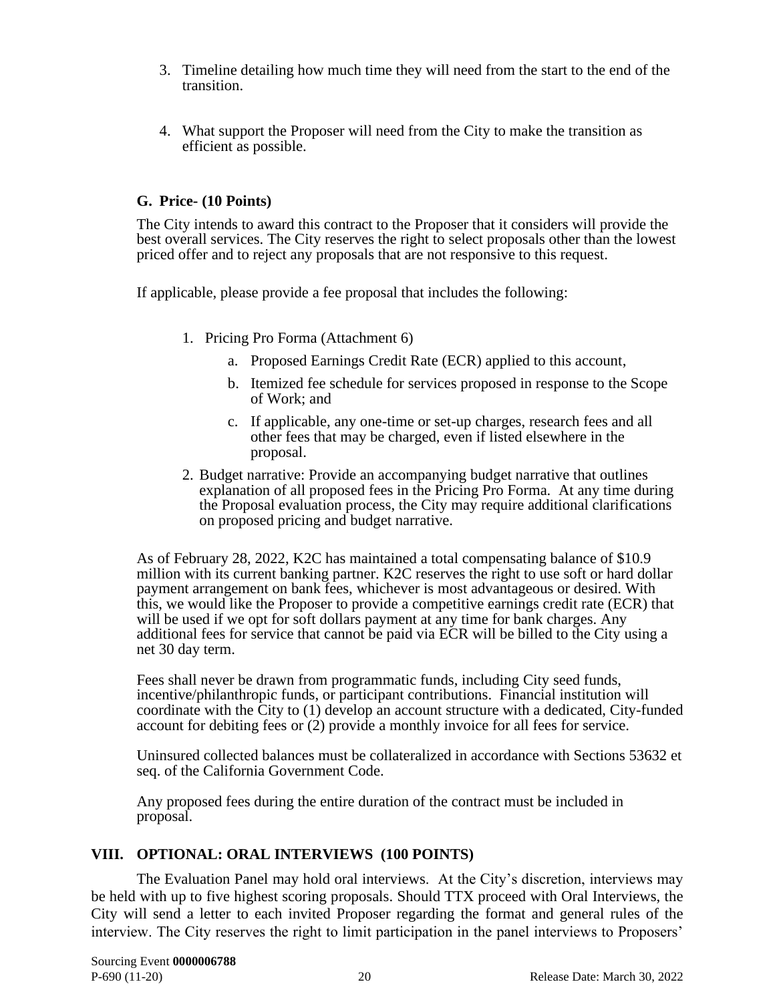- 3. Timeline detailing how much time they will need from the start to the end of the transition.
- 4. What support the Proposer will need from the City to make the transition as efficient as possible.

#### **G. Price- (10 Points)**

The City intends to award this contract to the Proposer that it considers will provide the best overall services. The City reserves the right to select proposals other than the lowest priced offer and to reject any proposals that are not responsive to this request.

If applicable, please provide a fee proposal that includes the following:

- 1. Pricing Pro Forma (Attachment 6)
	- a. Proposed Earnings Credit Rate (ECR) applied to this account,
	- b. Itemized fee schedule for services proposed in response to the Scope of Work; and
	- c. If applicable, any one-time or set-up charges, research fees and all other fees that may be charged, even if listed elsewhere in the proposal.
- 2. Budget narrative: Provide an accompanying budget narrative that outlines explanation of all proposed fees in the Pricing Pro Forma. At any time during the Proposal evaluation process, the City may require additional clarifications on proposed pricing and budget narrative.

As of February 28, 2022, K2C has maintained a total compensating balance of \$10.9 million with its current banking partner. K2C reserves the right to use soft or hard dollar payment arrangement on bank fees, whichever is most advantageous or desired. With this, we would like the Proposer to provide a competitive earnings credit rate (ECR) that will be used if we opt for soft dollars payment at any time for bank charges. Any additional fees for service that cannot be paid via ECR will be billed to the City using a net 30 day term.

Fees shall never be drawn from programmatic funds, including City seed funds, incentive/philanthropic funds, or participant contributions. Financial institution will coordinate with the City to (1) develop an account structure with a dedicated, City-funded account for debiting fees or (2) provide a monthly invoice for all fees for service.

Uninsured collected balances must be collateralized in accordance with Sections 53632 et seq. of the California Government Code.

<span id="page-21-0"></span>Any proposed fees during the entire duration of the contract must be included in proposal.

#### **VIII. OPTIONAL: ORAL INTERVIEWS (100 POINTS)**

The Evaluation Panel may hold oral interviews. At the City's discretion, interviews may be held with up to five highest scoring proposals. Should TTX proceed with Oral Interviews, the City will send a letter to each invited Proposer regarding the format and general rules of the interview. The City reserves the right to limit participation in the panel interviews to Proposers'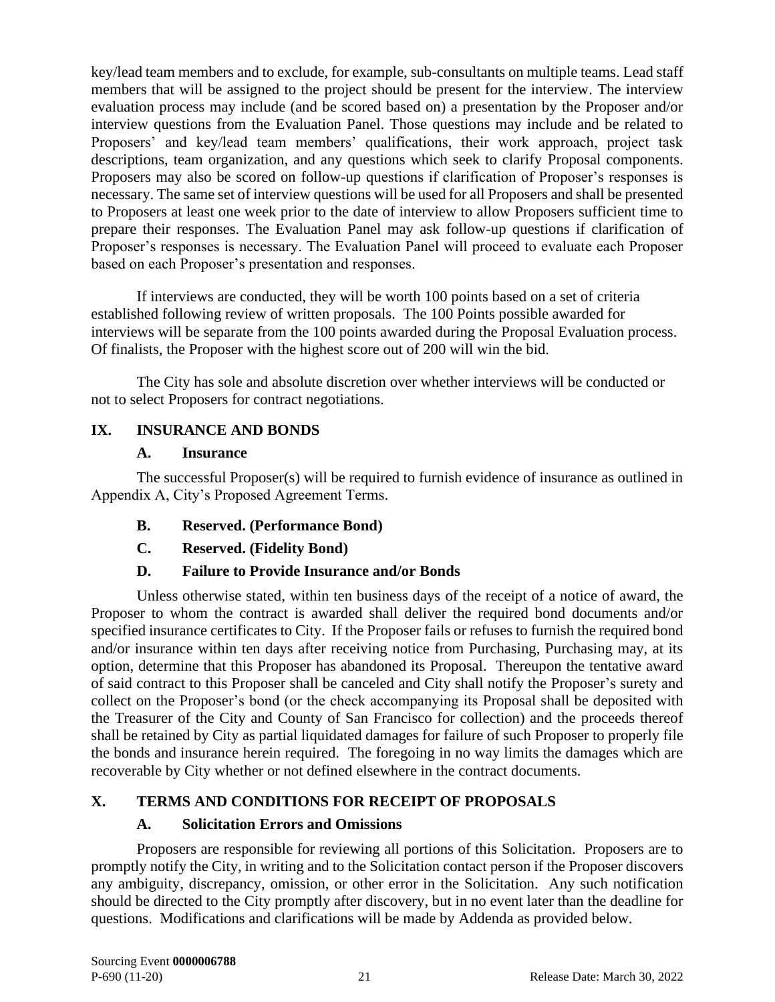key/lead team members and to exclude, for example, sub-consultants on multiple teams. Lead staff members that will be assigned to the project should be present for the interview. The interview evaluation process may include (and be scored based on) a presentation by the Proposer and/or interview questions from the Evaluation Panel. Those questions may include and be related to Proposers' and key/lead team members' qualifications, their work approach, project task descriptions, team organization, and any questions which seek to clarify Proposal components. Proposers may also be scored on follow-up questions if clarification of Proposer's responses is necessary. The same set of interview questions will be used for all Proposers and shall be presented to Proposers at least one week prior to the date of interview to allow Proposers sufficient time to prepare their responses. The Evaluation Panel may ask follow-up questions if clarification of Proposer's responses is necessary. The Evaluation Panel will proceed to evaluate each Proposer based on each Proposer's presentation and responses.

If interviews are conducted, they will be worth 100 points based on a set of criteria established following review of written proposals. The 100 Points possible awarded for interviews will be separate from the 100 points awarded during the Proposal Evaluation process. Of finalists, the Proposer with the highest score out of 200 will win the bid.

The City has sole and absolute discretion over whether interviews will be conducted or not to select Proposers for contract negotiations.

## <span id="page-22-0"></span>**IX. INSURANCE AND BONDS**

#### <span id="page-22-1"></span>**A. Insurance**

The successful Proposer(s) will be required to furnish evidence of insurance as outlined in Appendix A, City's Proposed Agreement Terms.

- <span id="page-22-2"></span>**B. Reserved. (Performance Bond)**
- <span id="page-22-3"></span>**C. Reserved. (Fidelity Bond)**

#### <span id="page-22-4"></span>**D. Failure to Provide Insurance and/or Bonds**

Unless otherwise stated, within ten business days of the receipt of a notice of award, the Proposer to whom the contract is awarded shall deliver the required bond documents and/or specified insurance certificates to City. If the Proposer fails or refuses to furnish the required bond and/or insurance within ten days after receiving notice from Purchasing, Purchasing may, at its option, determine that this Proposer has abandoned its Proposal. Thereupon the tentative award of said contract to this Proposer shall be canceled and City shall notify the Proposer's surety and collect on the Proposer's bond (or the check accompanying its Proposal shall be deposited with the Treasurer of the City and County of San Francisco for collection) and the proceeds thereof shall be retained by City as partial liquidated damages for failure of such Proposer to properly file the bonds and insurance herein required. The foregoing in no way limits the damages which are recoverable by City whether or not defined elsewhere in the contract documents.

#### <span id="page-22-6"></span><span id="page-22-5"></span>**X. TERMS AND CONDITIONS FOR RECEIPT OF PROPOSALS**

#### **A. Solicitation Errors and Omissions**

Proposers are responsible for reviewing all portions of this Solicitation. Proposers are to promptly notify the City, in writing and to the Solicitation contact person if the Proposer discovers any ambiguity, discrepancy, omission, or other error in the Solicitation. Any such notification should be directed to the City promptly after discovery, but in no event later than the deadline for questions. Modifications and clarifications will be made by Addenda as provided below.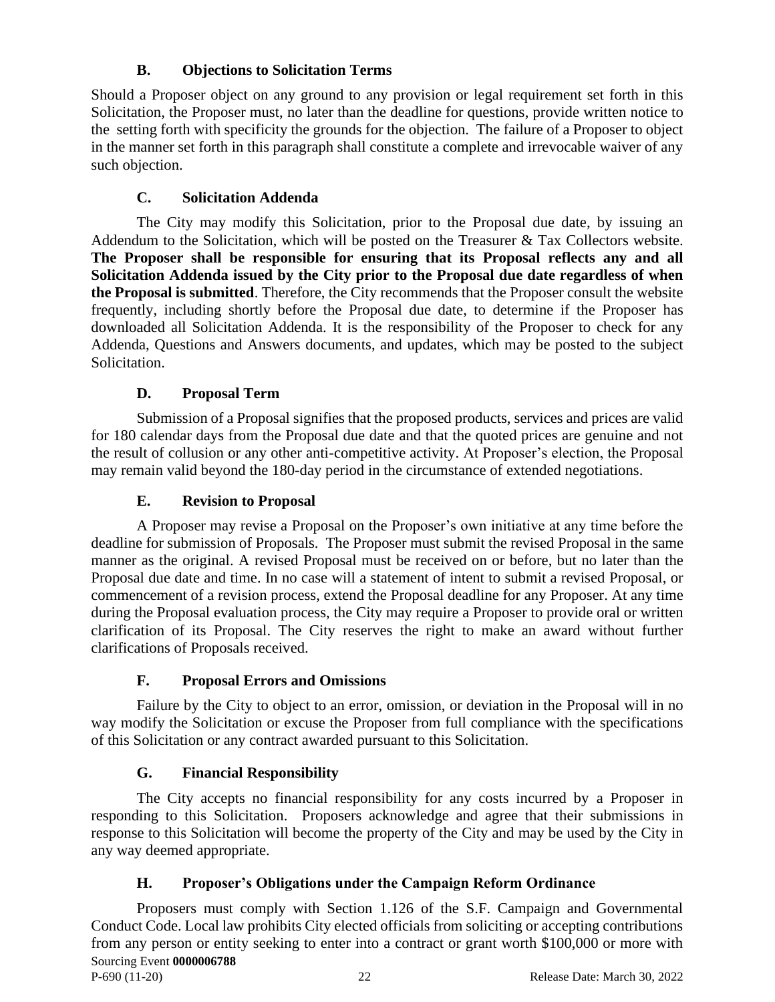# **B. Objections to Solicitation Terms**

<span id="page-23-0"></span>Should a Proposer object on any ground to any provision or legal requirement set forth in this Solicitation, the Proposer must, no later than the deadline for questions, provide written notice to the setting forth with specificity the grounds for the objection. The failure of a Proposer to object in the manner set forth in this paragraph shall constitute a complete and irrevocable waiver of any such objection.

# **C. Solicitation Addenda**

<span id="page-23-1"></span>The City may modify this Solicitation, prior to the Proposal due date, by issuing an Addendum to the Solicitation, which will be posted on the Treasurer  $\&$  Tax Collectors website. **The Proposer shall be responsible for ensuring that its Proposal reflects any and all Solicitation Addenda issued by the City prior to the Proposal due date regardless of when the Proposal is submitted**. Therefore, the City recommends that the Proposer consult the website frequently, including shortly before the Proposal due date, to determine if the Proposer has downloaded all Solicitation Addenda. It is the responsibility of the Proposer to check for any Addenda, Questions and Answers documents, and updates, which may be posted to the subject Solicitation.

## **D. Proposal Term**

<span id="page-23-2"></span>Submission of a Proposal signifies that the proposed products, services and prices are valid for 180 calendar days from the Proposal due date and that the quoted prices are genuine and not the result of collusion or any other anti-competitive activity. At Proposer's election, the Proposal may remain valid beyond the 180-day period in the circumstance of extended negotiations.

## **E. Revision to Proposal**

<span id="page-23-3"></span>A Proposer may revise a Proposal on the Proposer's own initiative at any time before the deadline for submission of Proposals. The Proposer must submit the revised Proposal in the same manner as the original. A revised Proposal must be received on or before, but no later than the Proposal due date and time. In no case will a statement of intent to submit a revised Proposal, or commencement of a revision process, extend the Proposal deadline for any Proposer. At any time during the Proposal evaluation process, the City may require a Proposer to provide oral or written clarification of its Proposal. The City reserves the right to make an award without further clarifications of Proposals received.

#### **F. Proposal Errors and Omissions**

<span id="page-23-4"></span>Failure by the City to object to an error, omission, or deviation in the Proposal will in no way modify the Solicitation or excuse the Proposer from full compliance with the specifications of this Solicitation or any contract awarded pursuant to this Solicitation.

# **G. Financial Responsibility**

<span id="page-23-5"></span>The City accepts no financial responsibility for any costs incurred by a Proposer in responding to this Solicitation. Proposers acknowledge and agree that their submissions in response to this Solicitation will become the property of the City and may be used by the City in any way deemed appropriate.

# **H. Proposer's Obligations under the Campaign Reform Ordinance**

<span id="page-23-6"></span>Sourcing Event **0000006788** P-690 (11-20) 22 Release Date: March 30, 2022 Proposers must comply with Section 1.126 of the S.F. Campaign and Governmental Conduct Code. Local law prohibits City elected officials from soliciting or accepting contributions from any person or entity seeking to enter into a contract or grant worth \$100,000 or more with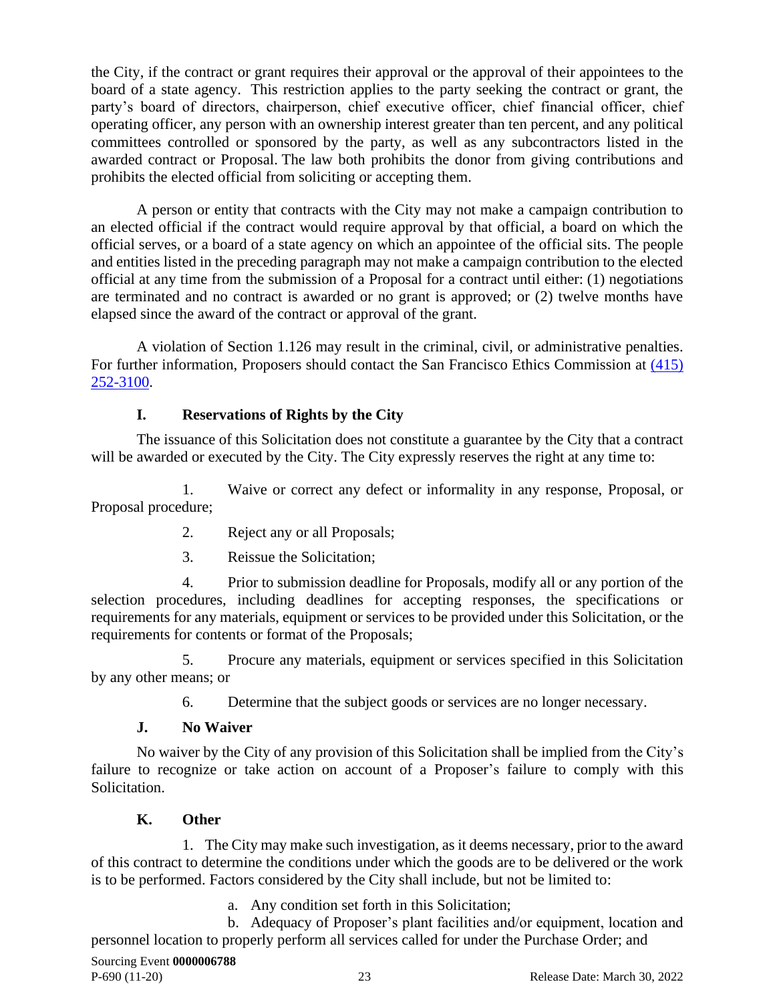the City, if the contract or grant requires their approval or the approval of their appointees to the board of a state agency. This restriction applies to the party seeking the contract or grant, the party's board of directors, chairperson, chief executive officer, chief financial officer, chief operating officer, any person with an ownership interest greater than ten percent, and any political committees controlled or sponsored by the party, as well as any subcontractors listed in the awarded contract or Proposal. The law both prohibits the donor from giving contributions and prohibits the elected official from soliciting or accepting them.

A person or entity that contracts with the City may not make a campaign contribution to an elected official if the contract would require approval by that official, a board on which the official serves, or a board of a state agency on which an appointee of the official sits. The people and entities listed in the preceding paragraph may not make a campaign contribution to the elected official at any time from the submission of a Proposal for a contract until either: (1) negotiations are terminated and no contract is awarded or no grant is approved; or (2) twelve months have elapsed since the award of the contract or approval of the grant.

A violation of Section 1.126 may result in the criminal, civil, or administrative penalties. For further information, Proposers should contact the San Francisco Ethics Commission at (415) [252-3100.](tel:(415)%20252-3100)

## **I. Reservations of Rights by the City**

<span id="page-24-0"></span>The issuance of this Solicitation does not constitute a guarantee by the City that a contract will be awarded or executed by the City. The City expressly reserves the right at any time to:

1. Waive or correct any defect or informality in any response, Proposal, or Proposal procedure;

- 2. Reject any or all Proposals;
- 3. Reissue the Solicitation;

4. Prior to submission deadline for Proposals, modify all or any portion of the selection procedures, including deadlines for accepting responses, the specifications or requirements for any materials, equipment or services to be provided under this Solicitation, or the requirements for contents or format of the Proposals;

5. Procure any materials, equipment or services specified in this Solicitation by any other means; or

6. Determine that the subject goods or services are no longer necessary.

#### **J. No Waiver**

<span id="page-24-1"></span>No waiver by the City of any provision of this Solicitation shall be implied from the City's failure to recognize or take action on account of a Proposer's failure to comply with this Solicitation.

#### **K. Other**

<span id="page-24-2"></span>1. The City may make such investigation, as it deems necessary, prior to the award of this contract to determine the conditions under which the goods are to be delivered or the work is to be performed. Factors considered by the City shall include, but not be limited to:

a. Any condition set forth in this Solicitation;

b. Adequacy of Proposer's plant facilities and/or equipment, location and personnel location to properly perform all services called for under the Purchase Order; and